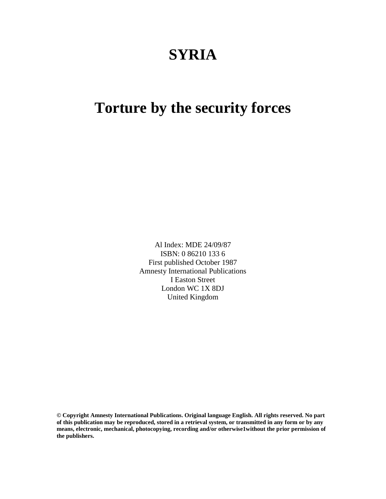# **SYRIA**

# **Torture by the security forces**

Al Index: MDE 24/09/87 ISBN: 0 86210 133 6 First published October 1987 Amnesty International Publications I Easton Street London WC 1X 8DJ United Kingdom

**© Copyright Amnesty International Publications. Original language English. All rights reserved. No part of this publication may be reproduced, stored in a retrieval system, or transmitted in any form or by any means, electronic, mechanical, photocopying, recording and/or otherwise1without the prior permission of the publishers.**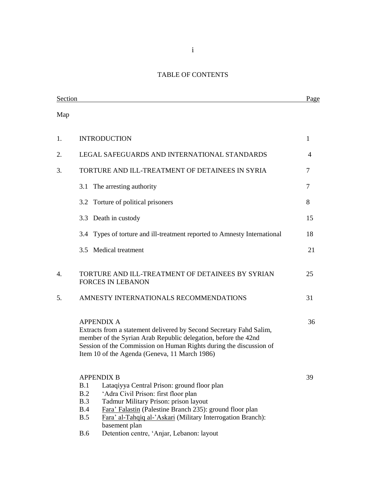# TABLE OF CONTENTS

| Section |                                                                                                                                                                                                                                                                                                                                                                                             | Page         |
|---------|---------------------------------------------------------------------------------------------------------------------------------------------------------------------------------------------------------------------------------------------------------------------------------------------------------------------------------------------------------------------------------------------|--------------|
| Map     |                                                                                                                                                                                                                                                                                                                                                                                             |              |
| 1.      | <b>INTRODUCTION</b>                                                                                                                                                                                                                                                                                                                                                                         | $\mathbf{1}$ |
| 2.      | LEGAL SAFEGUARDS AND INTERNATIONAL STANDARDS                                                                                                                                                                                                                                                                                                                                                | 4            |
| 3.      | TORTURE AND ILL-TREATMENT OF DETAINEES IN SYRIA                                                                                                                                                                                                                                                                                                                                             | 7            |
|         | The arresting authority<br>3.1                                                                                                                                                                                                                                                                                                                                                              | 7            |
|         | 3.2 Torture of political prisoners                                                                                                                                                                                                                                                                                                                                                          | 8            |
|         | 3.3 Death in custody                                                                                                                                                                                                                                                                                                                                                                        | 15           |
|         | 3.4 Types of torture and ill-treatment reported to Amnesty International                                                                                                                                                                                                                                                                                                                    | 18           |
|         | 3.5 Medical treatment                                                                                                                                                                                                                                                                                                                                                                       | 21           |
| 4.      | TORTURE AND ILL-TREATMENT OF DETAINEES BY SYRIAN<br><b>FORCES IN LEBANON</b>                                                                                                                                                                                                                                                                                                                | 25           |
| 5.      | AMNESTY INTERNATIONALS RECOMMENDATIONS                                                                                                                                                                                                                                                                                                                                                      | 31           |
|         | <b>APPENDIX A</b><br>Extracts from a statement delivered by Second Secretary Fahd Salim,<br>member of the Syrian Arab Republic delegation, before the 42nd<br>Session of the Commission on Human Rights during the discussion of<br>Item 10 of the Agenda (Geneva, 11 March 1986)                                                                                                           | 36           |
|         | <b>APPENDIX B</b><br>B.1<br>Lataqiyya Central Prison: ground floor plan<br>B.2<br>'Adra Civil Prison: first floor plan<br>Tadmur Military Prison: prison layout<br>B.3<br>Fara' Falastin (Palestine Branch 235): ground floor plan<br>B.4<br>B.5<br>Fara' al-Tahqiq al-'Askari (Military Interrogation Branch):<br>basement plan<br><b>B.6</b><br>Detention centre, 'Anjar, Lebanon: layout | 39           |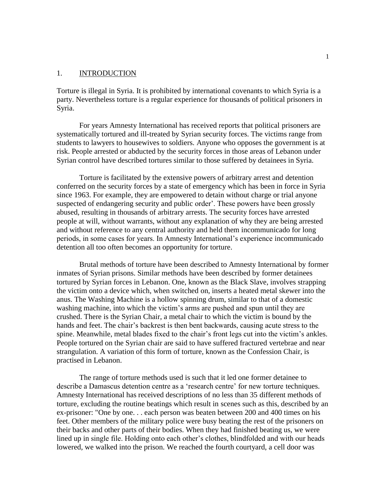## 1. INTRODUCTION

Torture is illegal in Syria. It is prohibited by international covenants to which Syria is a party. Nevertheless torture is a regular experience for thousands of political prisoners in Syria.

For years Amnesty International has received reports that political prisoners are systematically tortured and ill-treated by Syrian security forces. The victims range from students to lawyers to housewives to soldiers. Anyone who opposes the government is at risk. People arrested or abducted by the security forces in those areas of Lebanon under Syrian control have described tortures similar to those suffered by detainees in Syria.

Torture is facilitated by the extensive powers of arbitrary arrest and detention conferred on the security forces by a state of emergency which has been in force in Syria since 1963. For example, they are empowered to detain without charge or trial anyone suspected of endangering security and public order'. These powers have been grossly abused, resulting in thousands of arbitrary arrests. The security forces have arrested people at will, without warrants, without any explanation of why they are being arrested and without reference to any central authority and held them incommunicado for long periods, in some cases for years. In Amnesty International's experience incommunicado detention all too often becomes an opportunity for torture.

Brutal methods of torture have been described to Amnesty International by former inmates of Syrian prisons. Similar methods have been described by former detainees tortured by Syrian forces in Lebanon. One, known as the Black Slave, involves strapping the victim onto a device which, when switched on, inserts a heated metal skewer into the anus. The Washing Machine is a hollow spinning drum, similar to that of a domestic washing machine, into which the victim's arms are pushed and spun until they are crushed. There is the Syrian Chair, a metal chair to which the victim is bound by the hands and feet. The chair's backrest is then bent backwards, causing acute stress to the spine. Meanwhile, metal blades fixed to the chair's front legs cut into the victim's ankles. People tortured on the Syrian chair are said to have suffered fractured vertebrae and near strangulation. A variation of this form of torture, known as the Confession Chair, is practised in Lebanon.

The range of torture methods used is such that it led one former detainee to describe a Damascus detention centre as a 'research centre' for new torture techniques. Amnesty International has received descriptions of no less than 35 different methods of torture, excluding the routine beatings which result in scenes such as this, described by an ex-prisoner: "One by one. . . each person was beaten between 200 and 400 times on his feet. Other members of the military police were busy beating the rest of the prisoners on their backs and other parts of their bodies. When they had finished beating us, we were lined up in single file. Holding onto each other's clothes, blindfolded and with our heads lowered, we walked into the prison. We reached the fourth courtyard, a cell door was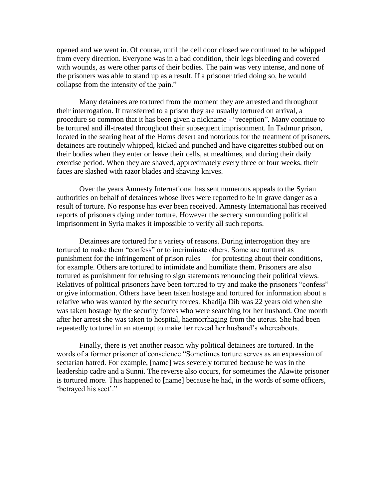opened and we went in. Of course, until the cell door closed we continued to be whipped from every direction. Everyone was in a bad condition, their legs bleeding and covered with wounds, as were other parts of their bodies. The pain was very intense, and none of the prisoners was able to stand up as a result. If a prisoner tried doing so, he would collapse from the intensity of the pain."

Many detainees are tortured from the moment they are arrested and throughout their interrogation. If transferred to a prison they are usually tortured on arrival, a procedure so common that it has been given a nickname - "reception". Many continue to be tortured and ill-treated throughout their subsequent imprisonment. In Tadmur prison, located in the searing heat of the Horns desert and notorious for the treatment of prisoners, detainees are routinely whipped, kicked and punched and have cigarettes stubbed out on their bodies when they enter or leave their cells, at mealtimes, and during their daily exercise period. When they are shaved, approximately every three or four weeks, their faces are slashed with razor blades and shaving knives.

Over the years Amnesty International has sent numerous appeals to the Syrian authorities on behalf of detainees whose lives were reported to be in grave danger as a result of torture. No response has ever been received. Amnesty International has received reports of prisoners dying under torture. However the secrecy surrounding political imprisonment in Syria makes it impossible to verify all such reports.

Detainees are tortured for a variety of reasons. During interrogation they are tortured to make them "confess" or to incriminate others. Some are tortured as punishment for the infringement of prison rules — for protesting about their conditions, for example. Others are tortured to intimidate and humiliate them. Prisoners are also tortured as punishment for refusing to sign statements renouncing their political views. Relatives of political prisoners have been tortured to try and make the prisoners "confess" or give information. Others have been taken hostage and tortured for information about a relative who was wanted by the security forces. Khadija Dib was 22 years old when she was taken hostage by the security forces who were searching for her husband. One month after her arrest she was taken to hospital, haemorrhaging from the uterus. She had been repeatedly tortured in an attempt to make her reveal her husband's whereabouts.

Finally, there is yet another reason why political detainees are tortured. In the words of a former prisoner of conscience "Sometimes torture serves as an expression of sectarian hatred. For example, [name] was severely tortured because he was in the leadership cadre and a Sunni. The reverse also occurs, for sometimes the Alawite prisoner is tortured more. This happened to [name] because he had, in the words of some officers, 'betrayed his sect'."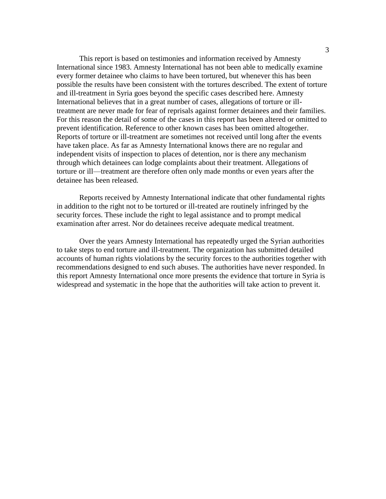This report is based on testimonies and information received by Amnesty International since 1983. Amnesty International has not been able to medically examine every former detainee who claims to have been tortured, but whenever this has been possible the results have been consistent with the tortures described. The extent of torture and ill-treatment in Syria goes beyond the specific cases described here. Amnesty International believes that in a great number of cases, allegations of torture or illtreatment are never made for fear of reprisals against former detainees and their families. For this reason the detail of some of the cases in this report has been altered or omitted to prevent identification. Reference to other known cases has been omitted altogether. Reports of torture or ill-treatment are sometimes not received until long after the events have taken place. As far as Amnesty International knows there are no regular and independent visits of inspection to places of detention, nor is there any mechanism through which detainees can lodge complaints about their treatment. Allegations of torture or ill—treatment are therefore often only made months or even years after the detainee has been released.

Reports received by Amnesty International indicate that other fundamental rights in addition to the right not to be tortured or ill-treated are routinely infringed by the security forces. These include the right to legal assistance and to prompt medical examination after arrest. Nor do detainees receive adequate medical treatment.

Over the years Amnesty International has repeatedly urged the Syrian authorities to take steps to end torture and ill-treatment. The organization has submitted detailed accounts of human rights violations by the security forces to the authorities together with recommendations designed to end such abuses. The authorities have never responded. In this report Amnesty International once more presents the evidence that torture in Syria is widespread and systematic in the hope that the authorities will take action to prevent it.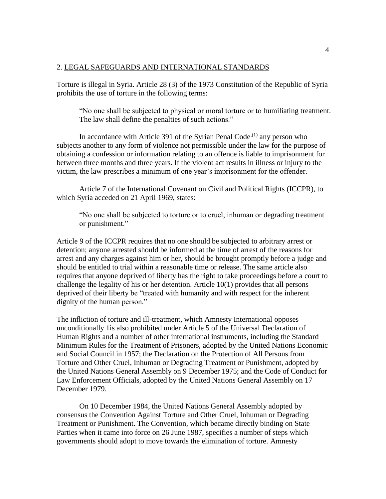### 2. LEGAL SAFEGUARDS AND INTERNATIONAL STANDARDS

Torture is illegal in Syria. Article 28 (3) of the 1973 Constitution of the Republic of Syria prohibits the use of torture in the following terms:

"No one shall be subjected to physical or moral torture or to humiliating treatment. The law shall define the penalties of such actions."

In accordance with Article 391 of the Syrian Penal Code<sup> $(1)$ </sup> any person who subjects another to any form of violence not permissible under the law for the purpose of obtaining a confession or information relating to an offence is liable to imprisonment for between three months and three years. If the violent act results in illness or injury to the victim, the law prescribes a minimum of one year's imprisonment for the offender.

Article 7 of the International Covenant on Civil and Political Rights (ICCPR), to which Syria acceded on 21 April 1969, states:

"No one shall be subjected to torture or to cruel, inhuman or degrading treatment or punishment."

Article 9 of the ICCPR requires that no one should be subjected to arbitrary arrest or detention; anyone arrested should be informed at the time of arrest of the reasons for arrest and any charges against him or her, should be brought promptly before a judge and should be entitled to trial within a reasonable time or release. The same article also requires that anyone deprived of liberty has the right to take proceedings before a court to challenge the legality of his or her detention. Article 10(1) provides that all persons deprived of their liberty be "treated with humanity and with respect for the inherent dignity of the human person."

The infliction of torture and ill-treatment, which Amnesty International opposes unconditionally 1is also prohibited under Article 5 of the Universal Declaration of Human Rights and a number of other international instruments, including the Standard Minimum Rules for the Treatment of Prisoners, adopted by the United Nations Economic and Social Council in 1957; the Declaration on the Protection of All Persons from Torture and Other Cruel, Inhuman or Degrading Treatment or Punishment, adopted by the United Nations General Assembly on 9 December 1975; and the Code of Conduct for Law Enforcement Officials, adopted by the United Nations General Assembly on 17 December 1979.

On 10 December 1984, the United Nations General Assembly adopted by consensus the Convention Against Torture and Other Cruel, Inhuman or Degrading Treatment or Punishment. The Convention, which became directly binding on State Parties when it came into force on 26 June 1987, specifies a number of steps which governments should adopt to move towards the elimination of torture. Amnesty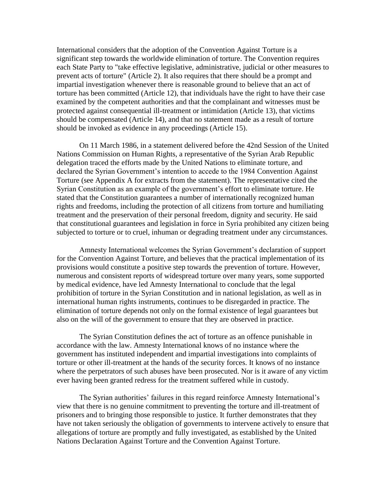International considers that the adoption of the Convention Against Torture is a significant step towards the worldwide elimination of torture. The Convention requires each State Party to "take effective legislative, administrative, judicial or other measures to prevent acts of torture" (Article 2). It also requires that there should be a prompt and impartial investigation whenever there is reasonable ground to believe that an act of torture has been committed (Article 12), that individuals have the right to have their case examined by the competent authorities and that the complainant and witnesses must be protected against consequential ill-treatment or intimidation (Article 13), that victims should be compensated (Article 14), and that no statement made as a result of torture should be invoked as evidence in any proceedings (Article 15).

On 11 March 1986, in a statement delivered before the 42nd Session of the United Nations Commission on Human Rights, a representative of the Syrian Arab Republic delegation traced the efforts made by the United Nations to eliminate torture, and declared the Syrian Government's intention to accede to the 1984 Convention Against Torture (see Appendix A for extracts from the statement). The representative cited the Syrian Constitution as an example of the government's effort to eliminate torture. He stated that the Constitution guarantees a number of internationally recognized human rights and freedoms, including the protection of all citizens from torture and humiliating treatment and the preservation of their personal freedom, dignity and security. He said that constitutional guarantees and legislation in force in Syria prohibited any citizen being subjected to torture or to cruel, inhuman or degrading treatment under any circumstances.

Amnesty International welcomes the Syrian Government's declaration of support for the Convention Against Torture, and believes that the practical implementation of its provisions would constitute a positive step towards the prevention of torture. However, numerous and consistent reports of widespread torture over many years, some supported by medical evidence, have led Amnesty International to conclude that the legal prohibition of torture in the Syrian Constitution and in national legislation, as well as in international human rights instruments, continues to be disregarded in practice. The elimination of torture depends not only on the formal existence of legal guarantees but also on the will of the government to ensure that they are observed in practice.

The Syrian Constitution defines the act of torture as an offence punishable in accordance with the law. Amnesty International knows of no instance where the government has instituted independent and impartial investigations into complaints of torture or other ill-treatment at the hands of the security forces. It knows of no instance where the perpetrators of such abuses have been prosecuted. Nor is it aware of any victim ever having been granted redress for the treatment suffered while in custody.

The Syrian authorities' failures in this regard reinforce Amnesty International's view that there is no genuine commitment to preventing the torture and ill-treatment of prisoners and to bringing those responsible to justice. It further demonstrates that they have not taken seriously the obligation of governments to intervene actively to ensure that allegations of torture are promptly and fully investigated, as established by the United Nations Declaration Against Torture and the Convention Against Torture.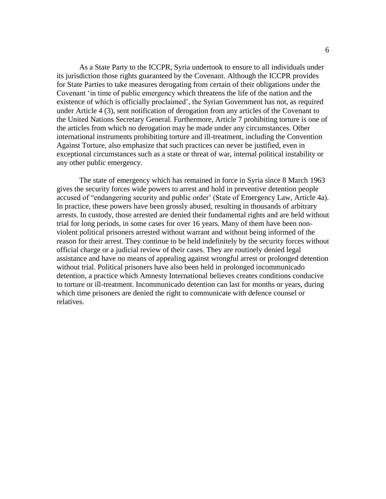As a State Party to the ICCPR, Syria undertook to ensure to all individuals under its jurisdiction those rights guaranteed by the Covenant. Although the ICCPR provides for State Parties to take measures derogating from certain of their obligations under the Covenant 'in time of public emergency which threatens the life of the nation and the existence of which is officially proclaimed', the Syrian Government has not, as required under Article 4 (3), sent notification of derogation from any articles of the Covenant to the United Nations Secretary General. Furthermore, Article 7 prohibiting torture is one of the articles from which no derogation may be made under any circumstances. Other international instruments prohibiting torture and ill-treatment, including the Convention Against Torture, also emphasize that such practices can never be justified, even in exceptional circumstances such as a state or threat of war, internal political instability or any other public emergency.

The state of emergency which has remained in force in Syria since 8 March 1963 gives the security forces wide powers to arrest and hold in preventive detention people accused of "endangering security and public order' (State of Emergency Law, Article 4a). In practice, these powers have been grossly abused, resulting in thousands of arbitrary arrests. In custody, those arrested are denied their fundamental rights and are held without trial for long periods, in some cases for over 16 years. Many of them have been nonviolent political prisoners arrested without warrant and without being informed of the reason for their arrest. They continue to be held indefinitely by the security forces without official charge or a judicial review of their cases. They are routinely denied legal assistance and have no means of appealing against wrongful arrest or prolonged detention without trial. Political prisoners have also been held in prolonged incommunicado detention, a practice which Amnesty International believes creates conditions conducive to torture or ill-treatment. Incommunicado detention can last for months or years, during which time prisoners are denied the right to communicate with defence counsel or relatives.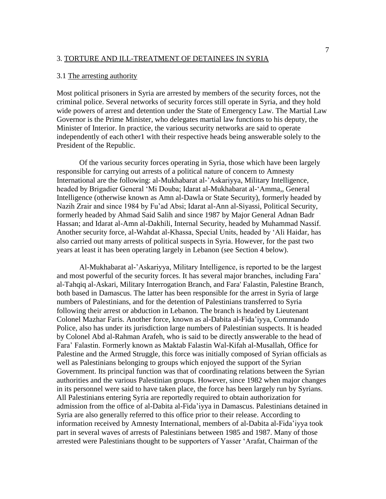#### 3. TORTURE AND ILL-TREATMENT OF DETAINEES IN SYRIA

## 3.1 The arresting authority

Most political prisoners in Syria are arrested by members of the security forces, not the criminal police. Several networks of security forces still operate in Syria, and they hold wide powers of arrest and detention under the State of Emergency Law. The Martial Law Governor is the Prime Minister, who delegates martial law functions to his deputy, the Minister of Interior. In practice, the various security networks are said to operate independently of each other1 with their respective heads being answerable solely to the President of the Republic.

Of the various security forces operating in Syria, those which have been largely responsible for carrying out arrests of a political nature of concern to Amnesty International are the following: al-Mukhabarat al-'Askariyya, Military Intelligence, headed by Brigadier General 'Mi Douba; Idarat al-Mukhabarat al-'Amma,, General Intelligence (otherwise known as Amn al-Dawla or State Security), formerly headed by Nazih Zrair and since 1984 by Fu'ad Absi; Idarat al-Ann al-Siyassi, Political Security, formerly headed by Ahmad Said Salih and since 1987 by Major General Adnan Badr Hassan; and Idarat al-Amn al-Dakhili, Internal Security, headed by Muhammad Nassif. Another security force, al-Wahdat al-Khassa, Special Units, headed by 'Ali Haidar, has also carried out many arrests of political suspects in Syria. However, for the past two years at least it has been operating largely in Lebanon (see Section 4 below).

Al-Mukhabarat al-'Askariyya, Military Intelligence, is reported to be the largest and most powerful of the security forces. It has several major branches, including Fara' al-Tahqiq al-Askari, Military Interrogation Branch, and Fara' Falastin, Palestine Branch, both based in Damascus. The latter has been responsible for the arrest in Syria of large numbers of Palestinians, and for the detention of Palestinians transferred to Syria following their arrest or abduction in Lebanon. The branch is headed by Lieutenant Colonel Mazhar Faris. Another force, known as al-Dabita al-Fida'iyya, Commando Police, also has under its jurisdiction large numbers of Palestinian suspects. It is headed by Colonel Abd al-Rahman Arafeh, who is said to be directly answerable to the head of Fara' Falastin. Formerly known as Maktab Falastin Wal-Kifah al-Musallah, Office for Palestine and the Armed Struggle, this force was initially composed of Syrian officials as well as Palestinians belonging to groups which enjoyed the support of the Syrian Government. Its principal function was that of coordinating relations between the Syrian authorities and the various Palestinian groups. However, since 1982 when major changes in its personnel were said to have taken place, the force has been largely run by Syrians. All Palestinians entering Syria are reportedly required to obtain authorization for admission from the office of al-Dabita al-Fida'iyya in Damascus. Palestinians detained in Syria are also generally referred to this office prior to their release. According to information received by Amnesty International, members of al-Dabita al-Fida'iyya took part in several waves of arrests of Palestinians between 1985 and 1987. Many of those arrested were Palestinians thought to be supporters of Yasser 'Arafat, Chairman of the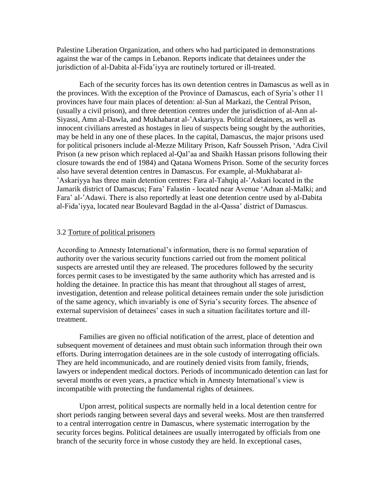Palestine Liberation Organization, and others who had participated in demonstrations against the war of the camps in Lebanon. Reports indicate that detainees under the jurisdiction of al-Dabita al-Fida'iyya are routinely tortured or ill-treated.

Each of the security forces has its own detention centres in Damascus as well as in the provinces. With the exception of the Province of Damascus, each of Syria's other 11 provinces have four main places of detention: al-Sun al Markazi, the Central Prison, (usually a civil prison), and three detention centres under the jurisdiction of al-Ann al-Siyassi, Amn al-Dawla, and Mukhabarat al-'Askariyya. Political detainees, as well as innocent civilians arrested as hostages in lieu of suspects being sought by the authorities, may be held in any one of these places. In the capital, Damascus, the major prisons used for political prisoners include al-Mezze Military Prison, Kafr Sousseh Prison, 'Adra Civil Prison (a new prison which replaced al-Qal'aa and Shaikh Hassan prisons following their closure towards the end of 1984) and Qatana Womens Prison. Some of the security forces also have several detention centres in Damascus. For example, al-Mukhabarat al- 'Askariyya has three main detention centres: Fara al-Tahqiq al-'Askari located in the Jamarik district of Damascus; Fara' Falastin - located near Avenue 'Adnan al-Malki; and Fara' al-'Adawi. There is also reportedly at least one detention centre used by al-Dabita al-Fida'iyya, located near Boulevard Bagdad in the al-Qassa' district of Damascus.

#### 3.2 Torture of political prisoners

According to Amnesty International's information, there is no formal separation of authority over the various security functions carried out from the moment political suspects are arrested until they are released. The procedures followed by the security forces permit cases to be investigated by the same authority which has arrested and is holding the detainee. In practice this has meant that throughout all stages of arrest, investigation, detention and release political detainees remain under the sole jurisdiction of the same agency, which invariably is one of Syria's security forces. The absence of external supervision of detainees' cases in such a situation facilitates torture and illtreatment.

Families are given no official notification of the arrest, place of detention and subsequent movement of detainees and must obtain such information through their own efforts. During interrogation detainees are in the sole custody of interrogating officials. They are held incommunicado, and are routinely denied visits from family, friends, lawyers or independent medical doctors. Periods of incommunicado detention can last for several months or even years, a practice which in Amnesty International's view is incompatible with protecting the fundamental rights of detainees.

Upon arrest, political suspects are normally held in a local detention centre for short periods ranging between several days and several weeks. Most are then transferred to a central interrogation centre in Damascus, where systematic interrogation by the security forces begins. Political detainees are usually interrogated by officials from one branch of the security force in whose custody they are held. In exceptional cases,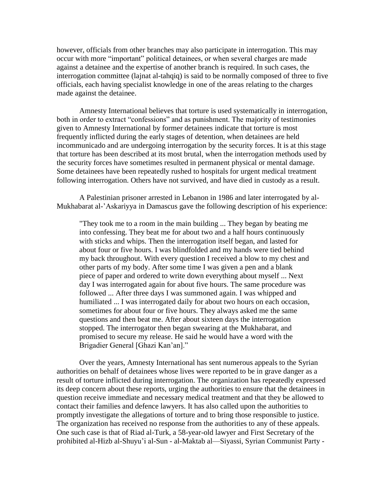however, officials from other branches may also participate in interrogation. This may occur with more "important" political detainees, or when several charges are made against a detainee and the expertise of another branch is required. In such cases, the interrogation committee (lajnat al-tahqiq) is said to be normally composed of three to five officials, each having specialist knowledge in one of the areas relating to the charges made against the detainee.

Amnesty International believes that torture is used systematically in interrogation, both in order to extract "confessions" and as punishment. The majority of testimonies given to Amnesty International by former detainees indicate that torture is most frequently inflicted during the early stages of detention, when detainees are held incommunicado and are undergoing interrogation by the security forces. It is at this stage that torture has been described at its most brutal, when the interrogation methods used by the security forces have sometimes resulted in permanent physical or mental damage. Some detainees have been repeatedly rushed to hospitals for urgent medical treatment following interrogation. Others have not survived, and have died in custody as a result.

A Palestinian prisoner arrested in Lebanon in 1986 and later interrogated by al-Mukhabarat al-'Askariyya in Damascus gave the following description of his experience:

"They took me to a room in the main building ... They began by beating me into confessing. They beat me for about two and a half hours continuously with sticks and whips. Then the interrogation itself began, and lasted for about four or five hours. I was blindfolded and my hands were tied behind my back throughout. With every question I received a blow to my chest and other parts of my body. After some time I was given a pen and a blank piece of paper and ordered to write down everything about myself ... Next day I was interrogated again for about five hours. The same procedure was followed ... After three days I was summoned again. I was whipped and humiliated ... I was interrogated daily for about two hours on each occasion, sometimes for about four or five hours. They always asked me the same questions and then beat me. After about sixteen days the interrogation stopped. The interrogator then began swearing at the Mukhabarat, and promised to secure my release. He said he would have a word with the Brigadier General [Ghazi Kan'an]."

Over the years, Amnesty International has sent numerous appeals to the Syrian authorities on behalf of detainees whose lives were reported to be in grave danger as a result of torture inflicted during interrogation. The organization has repeatedly expressed its deep concern about these reports, urging the authorities to ensure that the detainees in question receive immediate and necessary medical treatment and that they be allowed to contact their families and defence lawyers. It has also called upon the authorities to promptly investigate the allegations of torture and to bring those responsible to justice. The organization has received no response from the authorities to any of these appeals. One such case is that of Riad al-Turk, a 58-year-old lawyer and First Secretary of the prohibited al-Hizb al-Shuyu'i al-Sun - al-Maktab al—Siyassi, Syrian Communist Party -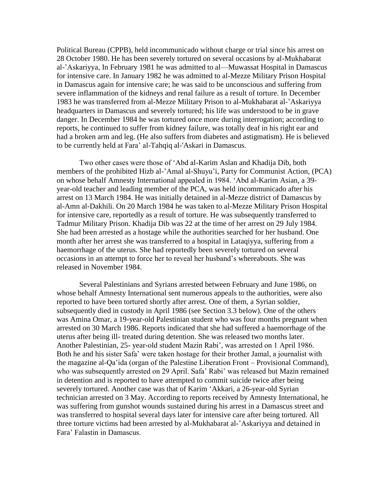Political Bureau (CPPB), held incommunicado without charge or trial since his arrest on 28 October 1980. He has been severely tortured on several occasions by al-Mukhabarat al-'Askariyya, In February 1981 he was admitted to al—Muwassat Hospital in Damascus for intensive care. In January 1982 he was admitted to al-Mezze Military Prison Hospital in Damascus again for intensive care; he was said to be unconscious and suffering from severe inflammation of the kidneys and renal failure as a result of torture. In December 1983 he was transferred from al-Mezze Military Prison to al-Mukhabarat al-'Askariyya headquarters in Damascus and severely tortured; his life was understood to be in grave danger. In December 1984 he was tortured once more during interrogation; according to reports, he continued to suffer from kidney failure, was totally deaf in his right ear and had a broken arm and leg. (He also suffers from diabetes and astigmatism). He is believed to be currently held at Fara' al-Tahqiq al-'Askari in Damascus.

Two other cases were those of 'Abd al-Karim Aslan and Khadija Dib, both members of the prohibited Hizb al-'Amal al-Shuyu'i, Party for Communist Action, (PCA) on whose behalf Amnesty International appealed in 1984. 'Abd al-Karim Asian, a 39 year-old teacher and leading member of the PCA, was held incommunicado after his arrest on 13 March 1984. He was initially detained in al-Mezze district of Damascus by al-Amn al-Dakhili. On 20 March 1984 he was taken to al-Mezze Military Prison Hospital for intensive care, reportedly as a result of torture. He was subsequently transferred to Tadmur Military Prison. Khadija Dib was 22 at the time of her arrest on 29 July 1984. She had been arrested as a hostage while the authorities searched for her husband. One month after her arrest she was transferred to a hospital in Lataqiyya, suffering from a haemorrhage of the uterus. She had reportedly been severely tortured on several occasions in an attempt to force her to reveal her husband's whereabouts. She was released in November 1984.

Several Palestinians and Syrians arrested between February and June 1986, on whose behalf Amnesty International sent numerous appeals to the authorities, were also reported to have been tortured shortly after arrest. One of them, a Syrian soldier, subsequently died in custody in April 1986 (see Section 3.3 below). One of the others was Amina Omar, a 19-year-old Palestinian student who was four months pregnant when arrested on 30 March 1986. Reports indicated that she had suffered a haemorrhage of the uterus after being ill- treated during detention. She was released two months later. Another Palestinian, 25- year-old student Mazin Rabi', was arrested on 1 April 1986. Both he and his sister Safa' were taken hostage for their brother Jamal, a journalist with the magazine al-Qa'ida (organ of the Palestine Liberation Front – Provisional Command), who was subsequently arrested on 29 April. Safa' Rabi' was released but Mazin remained in detention and is reported to have attempted to commit suicide twice after being severely tortured. Another case was that of Karim 'Akkari, a 26-year-old Syrian technician arrested on 3 May. According to reports received by Amnesty International, he was suffering from gunshot wounds sustained during his arrest in a Damascus street and was transferred to hospital several days later for intensive care after being tortured. All three torture victims had been arrested by al-Mukhabarat al-'Askariyya and detained in Fara' Falastin in Damascus.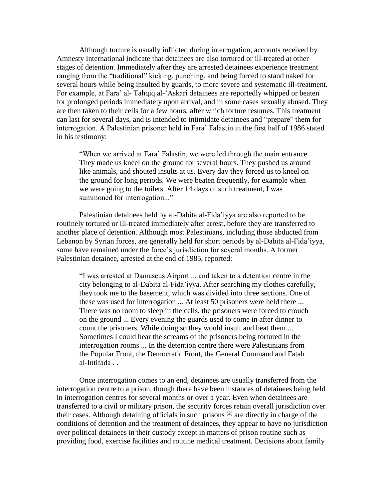Although torture is usually inflicted during interrogation, accounts received by Amnesty International indicate that detainees are also tortured or ill-treated at other stages of detention. Immediately after they are arrested detainees experience treatment ranging from the "traditional" kicking, punching, and being forced to stand naked for several hours while being insulted by guards, to more severe and systematic ill-treatment. For example, at Fara' al- Tahqiq al-'Askari detainees are reportedly whipped or beaten for prolonged periods immediately upon arrival, and in some cases sexually abused. They are then taken to their cells for a few hours, after which torture resumes. This treatment can last for several days, and is intended to intimidate detainees and "prepare" them for interrogation. A Palestinian prisoner held in Fara' Falastin in the first half of 1986 stated in his testimony:

"When we arrived at Fara' Falastin, we were led through the main entrance. They made us kneel on the ground for several hours. They pushed us around like animals, and shouted insults at us. Every day they forced us to kneel on the ground for long periods. We were beaten frequently, for example when we were going to the toilets. After 14 days of such treatment, I was summoned for interrogation..."

Palestinian detainees held by al-Dabita al-Fida'iyya are also reported to be routinely tortured or ill-treated immediately after arrest, before they are transferred to another place of detention. Although most Palestinians, including those abducted from Lebanon by Syrian forces, are generally held for short periods by al-Dabita al-Fida'iyya, some have remained under the force's jurisdiction for several months. A former Palestinian detainee, arrested at the end of 1985, reported:

"I was arrested at Damascus Airport ... and taken to a detention centre in the city belonging to al-Dabita al-Fida'iyya. After searching my clothes carefully, they took me to the basement, which was divided into three sections. One of these was used for interrogation ... At least 50 prisoners were held there ... There was no room to sleep in the cells, the prisoners were forced to crouch on the ground ... Every evening the guards used to come in after dinner to count the prisoners. While doing so they would insult and beat them ... Sometimes I could hear the screams of the prisoners being tortured in the interrogation rooms ... In the detention centre there were Palestinians from the Popular Front, the Democratic Front, the General Command and Fatah al-Intifada . .

Once interrogation comes to an end, detainees are usually transferred from the interrogation centre to a prison, though there have been instances of detainees being held in interrogation centres for several months or over a year. Even when detainees are transferred to a civil or military prison, the security forces retain overall jurisdiction over their cases. Although detaining officials in such prisons  $(2)$  are directly in charge of the conditions of detention and the treatment of detainees, they appear to have no jurisdiction over political detainees in their custody except in matters of prison routine such as providing food, exercise facilities and routine medical treatment. Decisions about family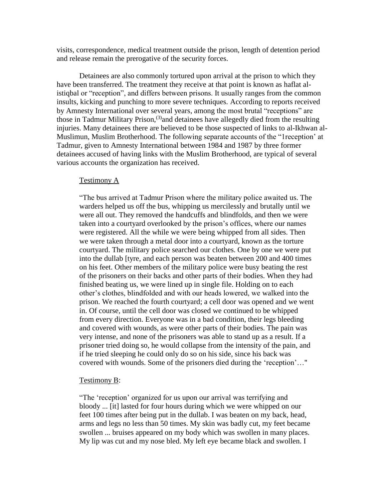visits, correspondence, medical treatment outside the prison, length of detention period and release remain the prerogative of the security forces.

Detainees are also commonly tortured upon arrival at the prison to which they have been transferred. The treatment they receive at that point is known as haflat alistiqbal or "reception", and differs between prisons. It usually ranges from the common insults, kicking and punching to more severe techniques. According to reports received by Amnesty International over several years, among the most brutal "receptions" are those in Tadmur Military Prison,<sup>(3)</sup>and detainees have allegedly died from the resulting injuries. Many detainees there are believed to be those suspected of links to al-Ikhwan al-Muslimun, Muslim Brotherhood. The following separate accounts of the "1reception' at Tadmur, given to Amnesty International between 1984 and 1987 by three former detainees accused of having links with the Muslim Brotherhood, are typical of several various accounts the organization has received.

#### Testimony A

"The bus arrived at Tadmur Prison where the military police awaited us. The warders helped us off the bus, whipping us mercilessly and brutally until we were all out. They removed the handcuffs and blindfolds, and then we were taken into a courtyard overlooked by the prison's offices, where our names were registered. All the while we were being whipped from all sides. Then we were taken through a metal door into a courtyard, known as the torture courtyard. The military police searched our clothes. One by one we were put into the dullab [tyre, and each person was beaten between 200 and 400 times on his feet. Other members of the military police were busy beating the rest of the prisoners on their backs and other parts of their bodies. When they had finished beating us, we were lined up in single file. Holding on to each other's clothes, blindfolded and with our heads lowered, we walked into the prison. We reached the fourth courtyard; a cell door was opened and we went in. Of course, until the cell door was closed we continued to be whipped from every direction. Everyone was in a bad condition, their legs bleeding and covered with wounds, as were other parts of their bodies. The pain was very intense, and none of the prisoners was able to stand up as a result. If a prisoner tried doing so, he would collapse from the intensity of the pain, and if he tried sleeping he could only do so on his side, since his back was covered with wounds. Some of the prisoners died during the 'reception'…"

#### Testimony B:

"The 'reception' organized for us upon our arrival was terrifying and bloody ... [it] lasted for four hours during which we were whipped on our feet 100 times after being put in the dullab. I was beaten on my back, head, arms and legs no less than 50 times. My skin was badly cut, my feet became swollen ... bruises appeared on my body which was swollen in many places. My lip was cut and my nose bled. My left eye became black and swollen. I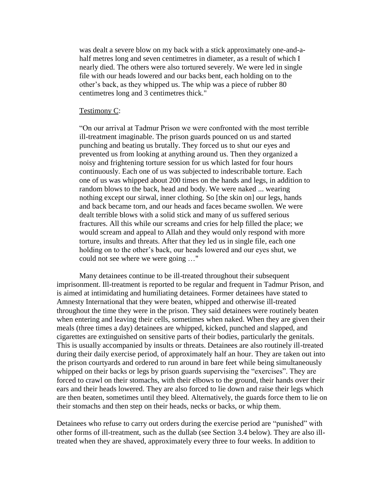was dealt a severe blow on my back with a stick approximately one-and-ahalf metres long and seven centimetres in diameter, as a result of which I nearly died. The others were also tortured severely. We were led in single file with our heads lowered and our backs bent, each holding on to the other's back, as they whipped us. The whip was a piece of rubber 80 centimetres long and 3 centimetres thick."

#### Testimony C:

"On our arrival at Tadmur Prison we were confronted with the most terrible ill-treatment imaginable. The prison guards pounced on us and started punching and beating us brutally. They forced us to shut our eyes and prevented us from looking at anything around us. Then they organized a noisy and frightening torture session for us which lasted for four hours continuously. Each one of us was subjected to indescribable torture. Each one of us was whipped about 200 times on the hands and legs, in addition to random blows to the back, head and body. We were naked ... wearing nothing except our sirwal, inner clothing. So [the skin on] our legs, hands and back became torn, and our heads and faces became swollen. We were dealt terrible blows with a solid stick and many of us suffered serious fractures. All this while our screams and cries for help filled the place; we would scream and appeal to Allah and they would only respond with more torture, insults and threats. After that they led us in single file, each one holding on to the other's back, our heads lowered and our eyes shut, we could not see where we were going …"

Many detainees continue to be ill-treated throughout their subsequent imprisonment. Ill-treatment is reported to be regular and frequent in Tadmur Prison, and is aimed at intimidating and humiliating detainees. Former detainees have stated to Amnesty International that they were beaten, whipped and otherwise ill-treated throughout the time they were in the prison. They said detainees were routinely beaten when entering and leaving their cells, sometimes when naked. When they are given their meals (three times a day) detainees are whipped, kicked, punched and slapped, and cigarettes are extinguished on sensitive parts of their bodies, particularly the genitals. This is usually accompanied by insults or threats. Detainees are also routinely ill-treated during their daily exercise period, of approximately half an hour. They are taken out into the prison courtyards and ordered to run around in bare feet while being simultaneously whipped on their backs or legs by prison guards supervising the "exercises". They are forced to crawl on their stomachs, with their elbows to the ground, their hands over their ears and their heads lowered. They are also forced to lie down and raise their legs which are then beaten, sometimes until they bleed. Alternatively, the guards force them to lie on their stomachs and then step on their heads, necks or backs, or whip them.

Detainees who refuse to carry out orders during the exercise period are "punished" with other forms of ill-treatment, such as the dullab (see Section 3.4 below). They are also illtreated when they are shaved, approximately every three to four weeks. In addition to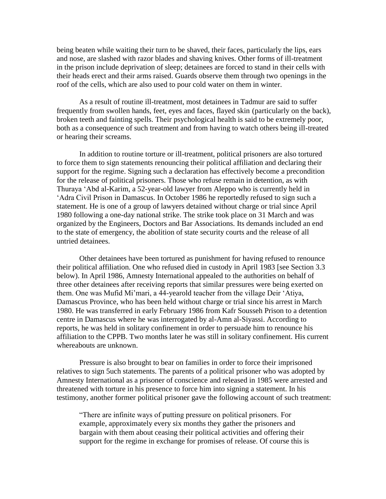being beaten while waiting their turn to be shaved, their faces, particularly the lips, ears and nose, are slashed with razor blades and shaving knives. Other forms of ill-treatment in the prison include deprivation of sleep; detainees are forced to stand in their cells with their heads erect and their arms raised. Guards observe them through two openings in the roof of the cells, which are also used to pour cold water on them in winter.

As a result of routine ill-treatment, most detainees in Tadmur are said to suffer frequently from swollen hands, feet, eyes and faces, flayed skin (particularly on the back), broken teeth and fainting spells. Their psychological health is said to be extremely poor, both as a consequence of such treatment and from having to watch others being ill-treated or hearing their screams.

In addition to routine torture or ill-treatment, political prisoners are also tortured to force them to sign statements renouncing their political affiliation and declaring their support for the regime. Signing such a declaration has effectively become a precondition for the release of political prisoners. Those who refuse remain in detention, as with Thuraya 'Abd al-Karim, a 52-year-old lawyer from Aleppo who is currently held in 'Adra Civil Prison in Damascus. In October 1986 he reportedly refused to sign such a statement. He is one of a group of lawyers detained without charge or trial since April 1980 following a one-day national strike. The strike took place on 31 March and was organized by the Engineers, Doctors and Bar Associations. Its demands included an end to the state of emergency, the abolition of state security courts and the release of all untried detainees.

Other detainees have been tortured as punishment for having refused to renounce their political affiliation. One who refused died in custody in April 1983 [see Section 3.3 below). In April 1986, Amnesty International appealed to the authorities on behalf of three other detainees after receiving reports that similar pressures were being exerted on them. One was Mufid Mi'mari, a 44-yearold teacher from the village Deir 'Atiya, Damascus Province, who has been held without charge or trial since his arrest in March 1980. He was transferred in early February 1986 from Kafr Sousseh Prison to a detention centre in Damascus where he was interrogated by al-Amn al-Siyassi. According to reports, he was held in solitary confinement in order to persuade him to renounce his affiliation to the CPPB. Two months later he was still in solitary confinement. His current whereabouts are unknown.

Pressure is also brought to bear on families in order to force their imprisoned relatives to sign 5uch statements. The parents of a political prisoner who was adopted by Amnesty International as a prisoner of conscience and released in 1985 were arrested and threatened with torture in his presence to force him into signing a statement. In his testimony, another former political prisoner gave the following account of such treatment:

"There are infinite ways of putting pressure on political prisoners. For example, approximately every six months they gather the prisoners and bargain with them about ceasing their political activities and offering their support for the regime in exchange for promises of release. Of course this is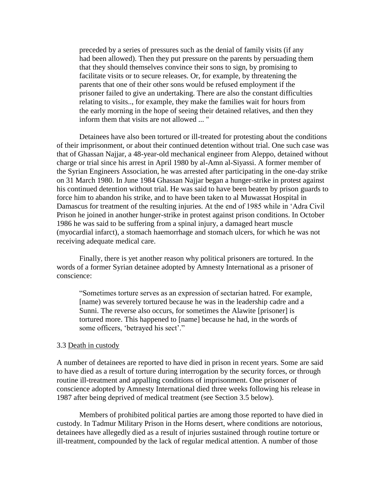preceded by a series of pressures such as the denial of family visits (if any had been allowed). Then they put pressure on the parents by persuading them that they should themselves convince their sons to sign, by promising to facilitate visits or to secure releases. Or, for example, by threatening the parents that one of their other sons would be refused employment if the prisoner failed to give an undertaking. There are also the constant difficulties relating to visits.., for example, they make the families wait for hours from the early morning in the hope of seeing their detained relatives, and then they inform them that visits are not allowed ... "

Detainees have also been tortured or ill-treated for protesting about the conditions of their imprisonment, or about their continued detention without trial. One such case was that of Ghassan Najjar, a 48-year-old mechanical engineer from Aleppo, detained without charge or trial since his arrest in April 1980 by al-Amn al-Siyassi. A former member of the Syrian Engineers Association, he was arrested after participating in the one-day strike on 31 March 1980. In June 1984 Ghassan Najjar began a hunger-strike in protest against his continued detention without trial. He was said to have been beaten by prison guards to force him to abandon his strike, and to have been taken to al Muwassat Hospital in Damascus for treatment of the resulting injuries. At the end of 1985 while in 'Adra Civil Prison he joined in another hunger-strike in protest against prison conditions. In October 1986 he was said to be suffering from a spinal injury, a damaged heart muscle (myocardial infarct), a stomach haemorrhage and stomach ulcers, for which he was not receiving adequate medical care.

Finally, there is yet another reason why political prisoners are tortured. In the words of a former Syrian detainee adopted by Amnesty International as a prisoner of conscience:

"Sometimes torture serves as an expression of sectarian hatred. For example, [name) was severely tortured because he was in the leadership cadre and a Sunni. The reverse also occurs, for sometimes the Alawite [prisoner] is tortured more. This happened to [name] because he had, in the words of some officers, 'betrayed his sect'."

#### 3.3 Death in custody

A number of detainees are reported to have died in prison in recent years. Some are said to have died as a result of torture during interrogation by the security forces, or through routine ill-treatment and appalling conditions of imprisonment. One prisoner of conscience adopted by Amnesty International died three weeks following his release in 1987 after being deprived of medical treatment (see Section 3.5 below).

Members of prohibited political parties are among those reported to have died in custody. In Tadmur Military Prison in the Horns desert, where conditions are notorious, detainees have allegedly died as a result of injuries sustained through routine torture or ill-treatment, compounded by the lack of regular medical attention. A number of those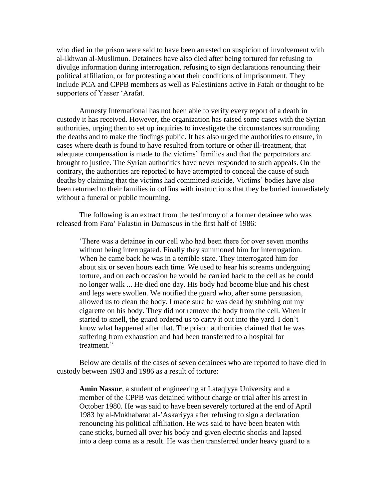who died in the prison were said to have been arrested on suspicion of involvement with al-Ikhwan al-Muslimun. Detainees have also died after being tortured for refusing to divulge information during interrogation, refusing to sign declarations renouncing their political affiliation, or for protesting about their conditions of imprisonment. They include PCA and CPPB members as well as Palestinians active in Fatah or thought to be supporters of Yasser 'Arafat.

Amnesty International has not been able to verify every report of a death in custody it has received. However, the organization has raised some cases with the Syrian authorities, urging then to set up inquiries to investigate the circumstances surrounding the deaths and to make the findings public. It has also urged the authorities to ensure, in cases where death is found to have resulted from torture or other ill-treatment, that adequate compensation is made to the victims' families and that the perpetrators are brought to justice. The Syrian authorities have never responded to such appeals. On the contrary, the authorities are reported to have attempted to conceal the cause of such deaths by claiming that the victims had committed suicide. Victims' bodies have also been returned to their families in coffins with instructions that they be buried immediately without a funeral or public mourning.

The following is an extract from the testimony of a former detainee who was released from Fara' Falastin in Damascus in the first half of 1986:

'There was a detainee in our cell who had been there for over seven months without being interrogated. Finally they summoned him for interrogation. When he came back he was in a terrible state. They interrogated him for about six or seven hours each time. We used to hear his screams undergoing torture, and on each occasion he would be carried back to the cell as he could no longer walk ... He died one day. His body had become blue and his chest and legs were swollen. We notified the guard who, after some persuasion, allowed us to clean the body. I made sure he was dead by stubbing out my cigarette on his body. They did not remove the body from the cell. When it started to smell, the guard ordered us to carry it out into the yard. I don't know what happened after that. The prison authorities claimed that he was suffering from exhaustion and had been transferred to a hospital for treatment."

Below are details of the cases of seven detainees who are reported to have died in custody between 1983 and 1986 as a result of torture:

**Amin Nassur**, a student of engineering at Lataqiyya University and a member of the CPPB was detained without charge or trial after his arrest in October 1980. He was said to have been severely tortured at the end of April 1983 by al-Mukhabarat al-'Askariyya after refusing to sign a declaration renouncing his political affiliation. He was said to have been beaten with cane sticks, burned all over his body and given electric shocks and lapsed into a deep coma as a result. He was then transferred under heavy guard to a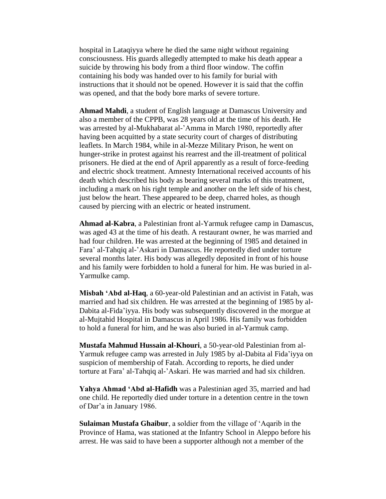hospital in Lataqiyya where he died the same night without regaining consciousness. His guards allegedly attempted to make his death appear a suicide by throwing his body from a third floor window. The coffin containing his body was handed over to his family for burial with instructions that it should not be opened. However it is said that the coffin was opened, and that the body bore marks of severe torture.

**Ahmad Mahdi**, a student of English language at Damascus University and also a member of the CPPB, was 28 years old at the time of his death. He was arrested by al-Mukhabarat al-'Amma in March 1980, reportedly after having been acquitted by a state security court of charges of distributing leaflets. In March 1984, while in al-Mezze Military Prison, he went on hunger-strike in protest against his rearrest and the ill-treatment of political prisoners. He died at the end of April apparently as a result of force-feeding and electric shock treatment. Amnesty International received accounts of his death which described his body as bearing several marks of this treatment, including a mark on his right temple and another on the left side of his chest, just below the heart. These appeared to be deep, charred holes, as though caused by piercing with an electric or heated instrument.

**Ahmad al-Kabra**, a Palestinian front al-Yarmuk refugee camp in Damascus, was aged 43 at the time of his death. A restaurant owner, he was married and had four children. He was arrested at the beginning of 1985 and detained in Fara' al-Tahqiq al-'Askari in Damascus. He reportedly died under torture several months later. His body was allegedly deposited in front of his house and his family were forbidden to hold a funeral for him. He was buried in al-Yarmulke camp.

**Misbah 'Abd al-Haq**, a 60-year-old Palestinian and an activist in Fatah, was married and had six children. He was arrested at the beginning of 1985 by al-Dabita al-Fida'iyya. His body was subsequently discovered in the morgue at al-Mujtahid Hospital in Damascus in April 1986. His family was forbidden to hold a funeral for him, and he was also buried in al-Yarmuk camp.

**Mustafa Mahmud Hussain al-Khouri**, a 50-year-old Palestinian from al-Yarmuk refugee camp was arrested in July 1985 by al-Dabita al Fida'iyya on suspicion of membership of Fatah. According to reports, he died under torture at Fara' al-Tahqiq al-'Askari. He was married and had six children.

Yahya Ahmad 'Abd al-Hafidh was a Palestinian aged 35, married and had one child. He reportedly died under torture in a detention centre in the town of Dar'a in January 1986.

**Sulaiman Mustafa Ghaibur**, a soldier from the village of 'Aqarib in the Province of Hama, was stationed at the Infantry School in Aleppo before his arrest. He was said to have been a supporter although not a member of the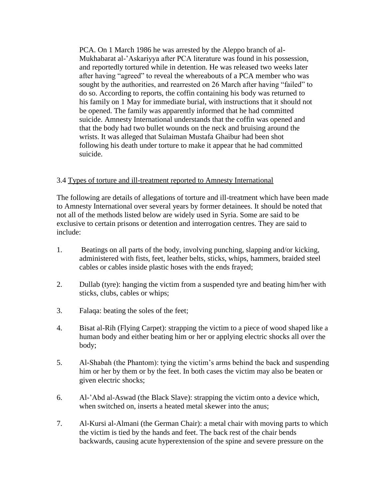PCA. On 1 March 1986 he was arrested by the Aleppo branch of al-Mukhabarat al-'Askariyya after PCA literature was found in his possession, and reportedly tortured while in detention. He was released two weeks later after having "agreed" to reveal the whereabouts of a PCA member who was sought by the authorities, and rearrested on 26 March after having "failed" to do so. According to reports, the coffin containing his body was returned to his family on 1 May for immediate burial, with instructions that it should not be opened. The family was apparently informed that he had committed suicide. Amnesty International understands that the coffin was opened and that the body had two bullet wounds on the neck and bruising around the wrists. It was alleged that Sulaiman Mustafa Ghaibur had been shot following his death under torture to make it appear that he had committed suicide.

## 3.4 Types of torture and ill-treatment reported to Amnesty International

The following are details of allegations of torture and ill-treatment which have been made to Amnesty International over several years by former detainees. It should be noted that not all of the methods listed below are widely used in Syria. Some are said to be exclusive to certain prisons or detention and interrogation centres. They are said to include:

- 1. Beatings on all parts of the body, involving punching, slapping and/or kicking, administered with fists, feet, leather belts, sticks, whips, hammers, braided steel cables or cables inside plastic hoses with the ends frayed;
- 2. Dullab (tyre): hanging the victim from a suspended tyre and beating him/her with sticks, clubs, cables or whips;
- 3. Falaqa: beating the soles of the feet;
- 4. Bisat al-Rih (Flying Carpet): strapping the victim to a piece of wood shaped like a human body and either beating him or her or applying electric shocks all over the body;
- 5. Al-Shabah (the Phantom): tying the victim's arms behind the back and suspending him or her by them or by the feet. In both cases the victim may also be beaten or given electric shocks;
- 6. Al-'Abd al-Aswad (the Black Slave): strapping the victim onto a device which, when switched on, inserts a heated metal skewer into the anus;
- 7. Al-Kursi al-Almani (the German Chair): a metal chair with moving parts to which the victim is tied by the hands and feet. The back rest of the chair bends backwards, causing acute hyperextension of the spine and severe pressure on the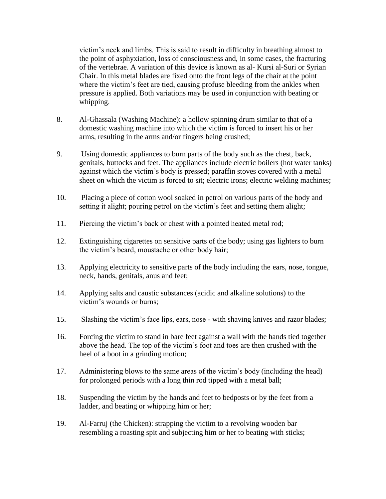victim's neck and limbs. This is said to result in difficulty in breathing almost to the point of asphyxiation, loss of consciousness and, in some cases, the fracturing of the vertebrae. A variation of this device is known as al- Kursi al-Suri or Syrian Chair. In this metal blades are fixed onto the front legs of the chair at the point where the victim's feet are tied, causing profuse bleeding from the ankles when pressure is applied. Both variations may be used in conjunction with beating or whipping.

- 8. Al-Ghassala (Washing Machine): a hollow spinning drum similar to that of a domestic washing machine into which the victim is forced to insert his or her arms, resulting in the arms and/or fingers being crushed;
- 9. Using domestic appliances to burn parts of the body such as the chest, back, genitals, buttocks and feet. The appliances include electric boilers (hot water tanks) against which the victim's body is pressed; paraffin stoves covered with a metal sheet on which the victim is forced to sit; electric irons; electric welding machines;
- 10. Placing a piece of cotton wool soaked in petrol on various parts of the body and setting it alight; pouring petrol on the victim's feet and setting them alight;
- 11. Piercing the victim's back or chest with a pointed heated metal rod;
- 12. Extinguishing cigarettes on sensitive parts of the body; using gas lighters to burn the victim's beard, moustache or other body hair;
- 13. Applying electricity to sensitive parts of the body including the ears, nose, tongue, neck, hands, genitals, anus and feet;
- 14. Applying salts and caustic substances (acidic and alkaline solutions) to the victim's wounds or burns;
- 15. Slashing the victim's face lips, ears, nose with shaving knives and razor blades;
- 16. Forcing the victim to stand in bare feet against a wall with the hands tied together above the head. The top of the victim's foot and toes are then crushed with the heel of a boot in a grinding motion;
- 17. Administering blows to the same areas of the victim's body (including the head) for prolonged periods with a long thin rod tipped with a metal ball;
- 18. Suspending the victim by the hands and feet to bedposts or by the feet from a ladder, and beating or whipping him or her;
- 19. Al-Farruj (the Chicken): strapping the victim to a revolving wooden bar resembling a roasting spit and subjecting him or her to beating with sticks;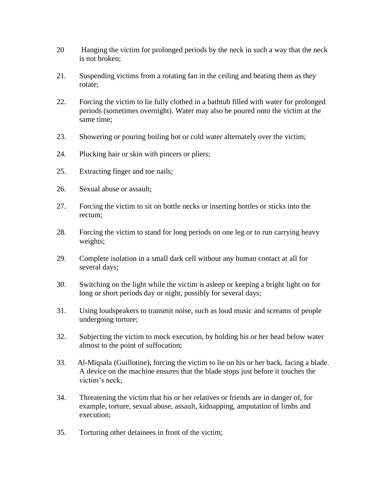- 20 Hanging the victim for prolonged periods by the neck in such a way that the neck is not broken;
- 21. Suspending victims from a rotating fan in the ceiling and beating them as they rotate;
- 22. Forcing the victim to lie fully clothed in a bathtub filled with water for prolonged periods (sometimes overnight). Water may also be poured onto the victim at the same time;
- 23. Showering or pouring boiling hot or cold water alternately over the victim;
- 24. Plucking hair or skin with pincers or pliers;
- 25. Extracting finger and toe nails;
- 26. Sexual abuse or assault;
- 27. Forcing the victim to sit on bottle necks or inserting bottles or sticks into the rectum;
- 28. Forcing the victim to stand for long periods on one leg or to run carrying heavy weights;
- 29. Complete isolation in a small dark cell without any human contact at all for several days;
- 30. Switching on the light while the victim is asleep or keeping a bright light on for long or short periods day or night, possibly for several days;
- 31. Using loudspeakers to transmit noise, such as loud music and screams of people undergoing torture;
- 32. Subjecting the victim to mock execution, by holding his or her head below water almost to the point of suffocation;
- 33. Al-Miqsala (Guillotine), forcing the victim to lie on his or her back, facing a blade. A device on the machine ensures that the blade stops just before it touches the victim's neck;
- 34. Threatening the victim that his or her relatives or friends are in danger of, for example, torture, sexual abuse, assault, kidnapping, amputation of limbs and execution;
- 35. Torturing other detainees in front of the victim;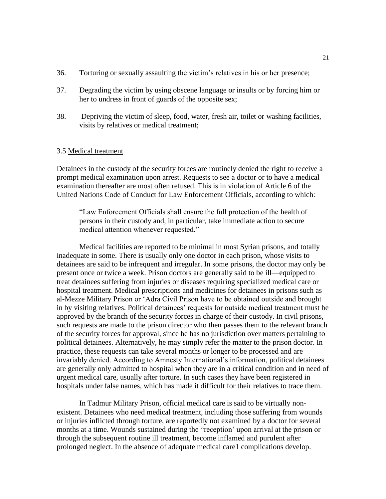- 36. Torturing or sexually assaulting the victim's relatives in his or her presence;
- 37. Degrading the victim by using obscene language or insults or by forcing him or her to undress in front of guards of the opposite sex;
- 38. Depriving the victim of sleep, food, water, fresh air, toilet or washing facilities, visits by relatives or medical treatment;

#### 3.5 Medical treatment

Detainees in the custody of the security forces are routinely denied the right to receive a prompt medical examination upon arrest. Requests to see a doctor or to have a medical examination thereafter are most often refused. This is in violation of Article 6 of the United Nations Code of Conduct for Law Enforcement Officials, according to which:

"Law Enforcement Officials shall ensure the full protection of the health of persons in their custody and, in particular, take immediate action to secure medical attention whenever requested."

Medical facilities are reported to be minimal in most Syrian prisons, and totally inadequate in some. There is usually only one doctor in each prison, whose visits to detainees are said to be infrequent and irregular. In some prisons, the doctor may only be present once or twice a week. Prison doctors are generally said to be ill—equipped to treat detainees suffering from injuries or diseases requiring specialized medical care or hospital treatment. Medical prescriptions and medicines for detainees in prisons such as al-Mezze Military Prison or 'Adra Civil Prison have to be obtained outside and brought in by visiting relatives. Political detainees' requests for outside medical treatment must be approved by the branch of the security forces in charge of their custody. In civil prisons, such requests are made to the prison director who then passes them to the relevant branch of the security forces for approval, since he has no jurisdiction over matters pertaining to political detainees. Alternatively, he may simply refer the matter to the prison doctor. In practice, these requests can take several months or longer to be processed and are invariably denied. According to Amnesty International's information, political detainees are generally only admitted to hospital when they are in a critical condition and in need of urgent medical care, usually after torture. In such cases they have been registered in hospitals under false names, which has made it difficult for their relatives to trace them.

In Tadmur Military Prison, official medical care is said to be virtually nonexistent. Detainees who need medical treatment, including those suffering from wounds or injuries inflicted through torture, are reportedly not examined by a doctor for several months at a time. Wounds sustained during the "reception' upon arrival at the prison or through the subsequent routine ill treatment, become inflamed and purulent after prolonged neglect. In the absence of adequate medical care1 complications develop.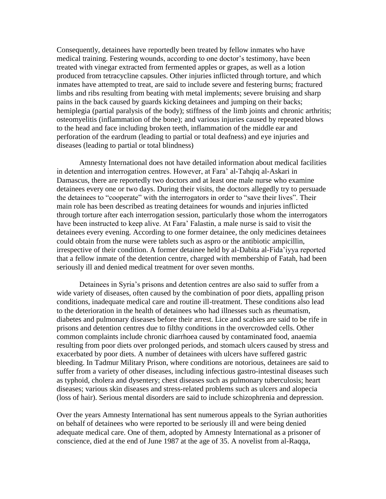Consequently, detainees have reportedly been treated by fellow inmates who have medical training. Festering wounds, according to one doctor's testimony, have been treated with vinegar extracted from fermented apples or grapes, as well as a lotion produced from tetracycline capsules. Other injuries inflicted through torture, and which inmates have attempted to treat, are said to include severe and festering burns; fractured limbs and ribs resulting from beating with metal implements; severe bruising and sharp pains in the back caused by guards kicking detainees and jumping on their backs; hemiplegia (partial paralysis of the body); stiffness of the limb joints and chronic arthritis; osteomyelitis (inflammation of the bone); and various injuries caused by repeated blows to the head and face including broken teeth, inflammation of the middle ear and perforation of the eardrum (leading to partial or total deafness) and eye injuries and diseases (leading to partial or total blindness)

Amnesty International does not have detailed information about medical facilities in detention and interrogation centres. However, at Fara' al-Tahqiq al-Askari in Damascus, there are reportedly two doctors and at least one male nurse who examine detainees every one or two days. During their visits, the doctors allegedly try to persuade the detainees to "cooperate" with the interrogators in order to "save their lives". Their main role has been described as treating detainees for wounds and injuries inflicted through torture after each interrogation session, particularly those whom the interrogators have been instructed to keep alive. At Fara' Falastin, a male nurse is said to visit the detainees every evening. According to one former detainee, the only medicines detainees could obtain from the nurse were tablets such as aspro or the antibiotic ampicillin, irrespective of their condition. A former detainee held by al-Dabita al-Fida'iyya reported that a fellow inmate of the detention centre, charged with membership of Fatah, had been seriously ill and denied medical treatment for over seven months.

Detainees in Syria's prisons and detention centres are also said to suffer from a wide variety of diseases, often caused by the combination of poor diets, appalling prison conditions, inadequate medical care and routine ill-treatment. These conditions also lead to the deterioration in the health of detainees who had illnesses such as rheumatism, diabetes and pulmonary diseases before their arrest. Lice and scabies are said to be rife in prisons and detention centres due to filthy conditions in the overcrowded cells. Other common complaints include chronic diarrhoea caused by contaminated food, anaemia resulting from poor diets over prolonged periods, and stomach ulcers caused by stress and exacerbated by poor diets. A number of detainees with ulcers have suffered gastric bleeding. In Tadmur Military Prison, where conditions are notorious, detainees are said to suffer from a variety of other diseases, including infectious gastro-intestinal diseases such as typhoid, cholera and dysentery; chest diseases such as pulmonary tuberculosis; heart diseases; various skin diseases and stress-related problems such as ulcers and alopecia (loss of hair). Serious mental disorders are said to include schizophrenia and depression.

Over the years Amnesty International has sent numerous appeals to the Syrian authorities on behalf of detainees who were reported to be seriously ill and were being denied adequate medical care. One of them, adopted by Amnesty International as a prisoner of conscience, died at the end of June 1987 at the age of 35. A novelist from al-Raqqa,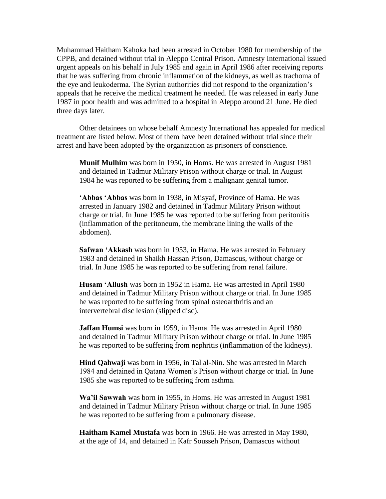Muhammad Haitham Kahoka had been arrested in October 1980 for membership of the CPPB, and detained without trial in Aleppo Central Prison. Amnesty International issued urgent appeals on his behalf in July 1985 and again in April 1986 after receiving reports that he was suffering from chronic inflammation of the kidneys, as well as trachoma of the eye and leukoderma. The Syrian authorities did not respond to the organization's appeals that he receive the medical treatment he needed. He was released in early June 1987 in poor health and was admitted to a hospital in Aleppo around 21 June. He died three days later.

Other detainees on whose behalf Amnesty International has appealed for medical treatment are listed below. Most of them have been detained without trial since their arrest and have been adopted by the organization as prisoners of conscience.

**Munif Mulhim** was born in 1950, in Homs. He was arrested in August 1981 and detained in Tadmur Military Prison without charge or trial. In August 1984 he was reported to be suffering from a malignant genital tumor.

**'Abbas 'Abbas** was born in 1938, in Misyaf, Province of Hama. He was arrested in January 1982 and detained in Tadmur Military Prison without charge or trial. In June 1985 he was reported to be suffering from peritonitis (inflammation of the peritoneum, the membrane lining the walls of the abdomen).

**Safwan 'Akkash** was born in 1953, in Hama. He was arrested in February 1983 and detained in Shaikh Hassan Prison, Damascus, without charge or trial. In June 1985 he was reported to be suffering from renal failure.

**Husam 'Allush** was born in 1952 in Hama. He was arrested in April 1980 and detained in Tadmur Military Prison without charge or trial. In June 1985 he was reported to be suffering from spinal osteoarthritis and an intervertebral disc lesion (slipped disc).

**Jaffan Humsi** was born in 1959, in Hama. He was arrested in April 1980 and detained in Tadmur Military Prison without charge or trial. In June 1985 he was reported to be suffering from nephritis (inflammation of the kidneys).

**Hind Qahwaji** was born in 1956, in Tal al-Nin. She was arrested in March 1984 and detained in Qatana Women's Prison without charge or trial. In June 1985 she was reported to be suffering from asthma.

**Wa'il Sawwah** was born in 1955, in Homs. He was arrested in August 1981 and detained in Tadmur Military Prison without charge or trial. In June 1985 he was reported to be suffering from a pulmonary disease.

**Haitham Kamel Mustafa** was born in 1966. He was arrested in May 1980, at the age of 14, and detained in Kafr Sousseh Prison, Damascus without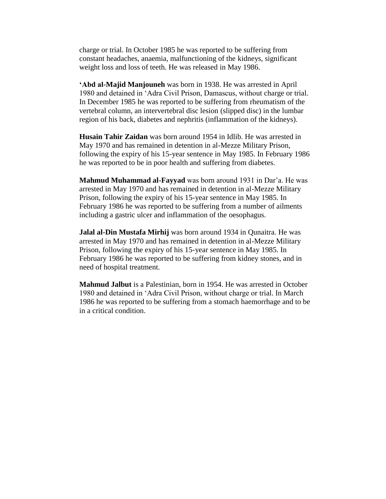charge or trial. In October 1985 he was reported to be suffering from constant headaches, anaemia, malfunctioning of the kidneys, significant weight loss and loss of teeth. He was released in May 1986.

**'Abd al-Majid Manjouneh** was born in 1938. He was arrested in April 1980 and detained in 'Adra Civil Prison, Damascus, without charge or trial. In December 1985 he was reported to be suffering from rheumatism of the vertebral column, an intervertebral disc lesion (slipped disc) in the lumbar region of his back, diabetes and nephritis (inflammation of the kidneys).

**Husain Tahir Zaidan** was born around 1954 in Idlib. He was arrested in May 1970 and has remained in detention in al-Mezze Military Prison, following the expiry of his 15-year sentence in May 1985. In February 1986 he was reported to be in poor health and suffering from diabetes.

**Mahmud Muhammad al-Fayyad** was born around 1931 in Dar'a. He was arrested in May 1970 and has remained in detention in al-Mezze Military Prison, following the expiry of his 15-year sentence in May 1985. In February 1986 he was reported to be suffering from a number of ailments including a gastric ulcer and inflammation of the oesophagus.

**Jalal al-Din Mustafa Mirhij** was born around 1934 in Qunaitra. He was arrested in May 1970 and has remained in detention in al-Mezze Military Prison, following the expiry of his 15-year sentence in May 1985. In February 1986 he was reported to be suffering from kidney stones, and in need of hospital treatment.

**Mahmud Jalbut** is a Palestinian, born in 1954. He was arrested in October 1980 and detained in 'Adra Civil Prison, without charge or trial. In March 1986 he was reported to be suffering from a stomach haemorrhage and to be in a critical condition.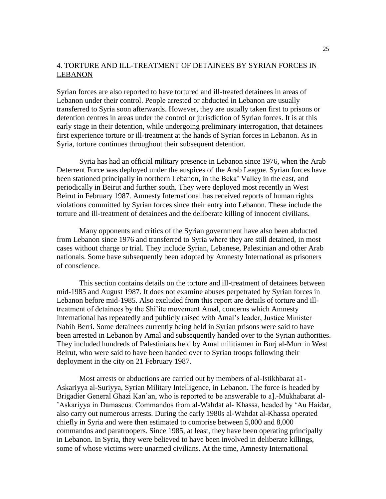## 4. TORTURE AND ILL-TREATMENT OF DETAINEES BY SYRIAN FORCES IN LEBANON

Syrian forces are also reported to have tortured and ill-treated detainees in areas of Lebanon under their control. People arrested or abducted in Lebanon are usually transferred to Syria soon afterwards. However, they are usually taken first to prisons or detention centres in areas under the control or jurisdiction of Syrian forces. It is at this early stage in their detention, while undergoing preliminary interrogation, that detainees first experience torture or ill-treatment at the hands of Syrian forces in Lebanon. As in Syria, torture continues throughout their subsequent detention.

Syria has had an official military presence in Lebanon since 1976, when the Arab Deterrent Force was deployed under the auspices of the Arab League. Syrian forces have been stationed principally in northern Lebanon, in the Beka' Valley in the east, and periodically in Beirut and further south. They were deployed most recently in West Beirut in February 1987. Amnesty International has received reports of human rights violations committed by Syrian forces since their entry into Lebanon. These include the torture and ill-treatment of detainees and the deliberate killing of innocent civilians.

Many opponents and critics of the Syrian government have also been abducted from Lebanon since 1976 and transferred to Syria where they are still detained, in most cases without charge or trial. They include Syrian, Lebanese, Palestinian and other Arab nationals. Some have subsequently been adopted by Amnesty International as prisoners of conscience.

This section contains details on the torture and ill-treatment of detainees between mid-1985 and August 1987. It does not examine abuses perpetrated by Syrian forces in Lebanon before mid-1985. Also excluded from this report are details of torture and illtreatment of detainees by the Shi'ite movement Amal, concerns which Amnesty International has repeatedly and publicly raised with Amal's leader, Justice Minister Nabih Berri. Some detainees currently being held in Syrian prisons were said to have been arrested in Lebanon by Amal and subsequently handed over to the Syrian authorities. They included hundreds of Palestinians held by Amal militiamen in Burj al-Murr in West Beirut, who were said to have been handed over to Syrian troops following their deployment in the city on 21 February 1987.

Most arrests or abductions are carried out by members of al-Istikhbarat a1- Askariyya al-Suriyya, Syrian Military Intelligence, in Lebanon. The force is headed by Brigadier General Ghazi Kan'an, who is reported to be answerable to a].-Mukhabarat al- 'Askariyya in Damascus. Commandos from al-Wahdat al- Khassa, headed by 'Au Haidar, also carry out numerous arrests. During the early 1980s al-Wahdat al-Khassa operated chiefly in Syria and were then estimated to comprise between 5,000 and 8,000 commandos and paratroopers. Since 1985, at least, they have been operating principally in Lebanon. In Syria, they were believed to have been involved in deliberate killings, some of whose victims were unarmed civilians. At the time, Amnesty International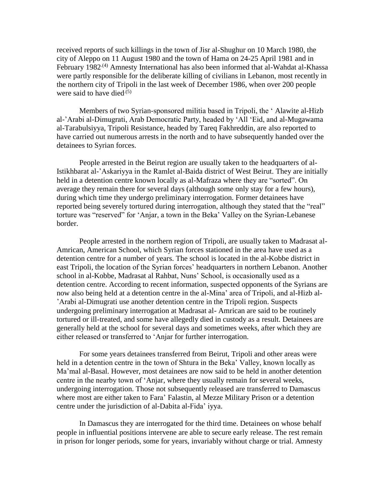received reports of such killings in the town of Jisr al-Shughur on 10 March 1980, the city of Aleppo on 11 August 1980 and the town of Hama on 24-25 April 1981 and in February 1982<sup>.(4)</sup> Amnesty International has also been informed that al-Wahdat al-Khassa were partly responsible for the deliberate killing of civilians in Lebanon, most recently in the northern city of Tripoli in the last week of December 1986, when over 200 people were said to have died $(5)$ 

Members of two Syrian-sponsored militia based in Tripoli, the ' Alawite al-Hizb al-'Arabi al-Dimugrati, Arab Democratic Party, headed by 'All 'Eid, and al-Mugawama al-Tarabulsiyya, Tripoli Resistance, headed by Tareq Fakhreddin, are also reported to have carried out numerous arrests in the north and to have subsequently handed over the detainees to Syrian forces.

People arrested in the Beirut region are usually taken to the headquarters of al-Istikhbarat al-'Askariyya in the Ramlet al-Baida district of West Beirut. They are initially held in a detention centre known locally as al-Mafraza where they are "sorted". On average they remain there for several days (although some only stay for a few hours), during which time they undergo preliminary interrogation. Former detainees have reported being severely tortured during interrogation, although they stated that the "real" torture was "reserved" for 'Anjar, a town in the Beka' Valley on the Syrian-Lebanese border.

People arrested in the northern region of Tripoli, are usually taken to Madrasat al-Amrican, American School, which Syrian forces stationed in the area have used as a detention centre for a number of years. The school is located in the al-Kobbe district in east Tripoli, the location of the Syrian forces' headquarters in northern Lebanon. Another school in al-Kobbe, Madrasat al Rahbat, Nuns' School, is occasionally used as a detention centre. According to recent information, suspected opponents of the Syrians are now also being held at a detention centre in the al-Mina' area of Tripoli, and al-Hizb al- 'Arabi al-Dimugrati use another detention centre in the Tripoli region. Suspects undergoing preliminary interrogation at Madrasat al- Amrican are said to be routinely tortured or ill-treated, and some have allegedly died in custody as a result. Detainees are generally held at the school for several days and sometimes weeks, after which they are either released or transferred to 'Anjar for further interrogation.

For some years detainees transferred from Beirut, Tripoli and other areas were held in a detention centre in the town of Shtura in the Beka' Valley, known locally as Ma'mal al-Basal. However, most detainees are now said to be held in another detention centre in the nearby town of 'Anjar, where they usually remain for several weeks, undergoing interrogation. Those not subsequently released are transferred to Damascus where most are either taken to Fara' Falastin, al Mezze Military Prison or a detention centre under the jurisdiction of al-Dabita al-Fida' iyya.

In Damascus they are interrogated for the third time. Detainees on whose behalf people in influential positions intervene are able to secure early release. The rest remain in prison for longer periods, some for years, invariably without charge or trial. Amnesty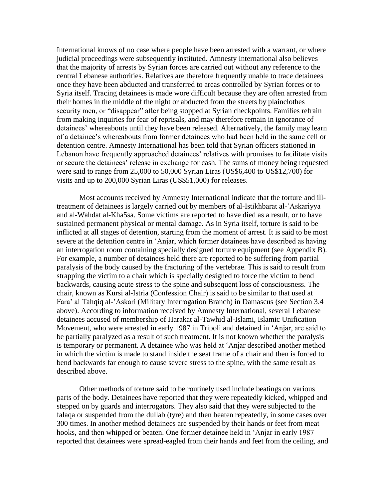International knows of no case where people have been arrested with a warrant, or where judicial proceedings were subsequently instituted. Amnesty International also believes that the majority of arrests by Syrian forces are carried out without any reference to the central Lebanese authorities. Relatives are therefore frequently unable to trace detainees once they have been abducted and transferred to areas controlled by Syrian forces or to Syria itself. Tracing detainees is made wore difficult because they are often arrested from their homes in the middle of the night or abducted from the streets by plainclothes security men, or "disappear" after being stopped at Syrian checkpoints. Families refrain from making inquiries for fear of reprisals, and may therefore remain in ignorance of detainees' whereabouts until they have been released. Alternatively, the family may learn of a detainee's whereabouts from former detainees who had been held in the same cell or detention centre. Amnesty International has been told that Syrian officers stationed in Lebanon have frequently approached detainees' relatives with promises to facilitate visits or secure the detainees' release in exchange for cash. The sums of money being requested were said to range from 25,000 to 50,000 Syrian Liras (US\$6,400 to US\$12,700) for visits and up to 200,000 Syrian Liras (US\$51,000) for releases.

Most accounts received by Amnesty International indicate that the torture and illtreatment of detainees is largely carried out by members of al-Istikhbarat al-'Askariyya and al-Wahdat al-Kha5sa. Some victims are reported to have died as a result, or to have sustained permanent physical or mental damage. As in Syria itself, torture is said to be inflicted at all stages of detention, starting from the moment of arrest. It is said to be most severe at the detention centre in 'Anjar, which former detainees have described as having an interrogation room containing specially designed torture equipment (see Appendix B). For example, a number of detainees held there are reported to be suffering from partial paralysis of the body caused by the fracturing of the vertebrae. This is said to result from strapping the victim to a chair which is specially designed to force the victim to bend backwards, causing acute stress to the spine and subsequent loss of consciousness. The chair, known as Kursi al-Istria (Confession Chair) is said to be similar to that used at Fara' al Tahqiq al-'Askari (Military Interrogation Branch) in Damascus (see Section 3.4 above). According to information received by Amnesty International, several Lebanese detainees accused of membership of Harakat al-Tawhid al-Islami, Islamic Unification Movement, who were arrested in early 1987 in Tripoli and detained in 'Anjar, are said to be partially paralyzed as a result of such treatment. It is not known whether the paralysis is temporary or permanent. A detainee who was held at 'Anjar described another method in which the victim is made to stand inside the seat frame of a chair and then is forced to bend backwards far enough to cause severe stress to the spine, with the same result as described above.

Other methods of torture said to be routinely used include beatings on various parts of the body. Detainees have reported that they were repeatedly kicked, whipped and stepped on by guards and interrogators. They also said that they were subjected to the falaqa or suspended from the dullab (tyre) and then beaten repeatedly, in some cases over 300 times. In another method detainees are suspended by their hands or feet from meat hooks, and then whipped or beaten. One former detainee held in 'Anjar in early 1987 reported that detainees were spread-eagled from their hands and feet from the ceiling, and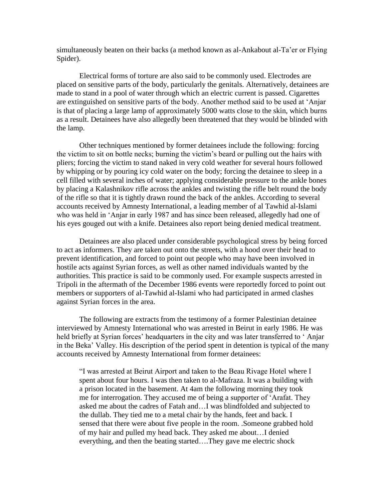simultaneously beaten on their backs (a method known as al-Ankabout al-Ta'er or Flying Spider).

Electrical forms of torture are also said to be commonly used. Electrodes are placed on sensitive parts of the body, particularly the genitals. Alternatively, detainees are made to stand in a pool of water through which an electric current is passed. Cigarettes are extinguished on sensitive parts of the body. Another method said to be used at 'Anjar is that of placing a large lamp of approximately 5000 watts close to the skin, which burns as a result. Detainees have also allegedly been threatened that they would be blinded with the lamp.

Other techniques mentioned by former detainees include the following: forcing the victim to sit on bottle necks; burning the victim's beard or pulling out the hairs with pliers; forcing the victim to stand naked in very cold weather for several hours followed by whipping or by pouring icy cold water on the body; forcing the detainee to sleep in a cell filled with several inches of water; applying considerable pressure to the ankle bones by placing a Kalashnikov rifle across the ankles and twisting the rifle belt round the body of the rifle so that it is tightly drawn round the back of the ankles. According to several accounts received by Amnesty International, a leading member of al Tawhid al-Islami who was held in 'Anjar in early 1987 and has since been released, allegedly had one of his eyes gouged out with a knife. Detainees also report being denied medical treatment.

Detainees are also placed under considerable psychological stress by being forced to act as informers. They are taken out onto the streets, with a hood over their head to prevent identification, and forced to point out people who may have been involved in hostile acts against Syrian forces, as well as other named individuals wanted by the authorities. This practice is said to be commonly used. For example suspects arrested in Tripoli in the aftermath of the December 1986 events were reportedly forced to point out members or supporters of al-Tawhid al-Islami who had participated in armed clashes against Syrian forces in the area.

The following are extracts from the testimony of a former Palestinian detainee interviewed by Amnesty International who was arrested in Beirut in early 1986. He was held briefly at Syrian forces' headquarters in the city and was later transferred to ' Anjar in the Beka' Valley. His description of the period spent in detention is typical of the many accounts received by Amnesty International from former detainees:

"I was arrested at Beirut Airport and taken to the Beau Rivage Hotel where I spent about four hours. I was then taken to al-Mafraza. It was a building with a prison located in the basement. At 4am the following morning they took me for interrogation. They accused me of being a supporter of 'Arafat. They asked me about the cadres of Fatah and…I was blindfolded and subjected to the dullab. They tied me to a metal chair by the hands, feet and back. I sensed that there were about five people in the room. .Someone grabbed hold of my hair and pulled my head back. They asked me about…I denied everything, and then the beating started….They gave me electric shock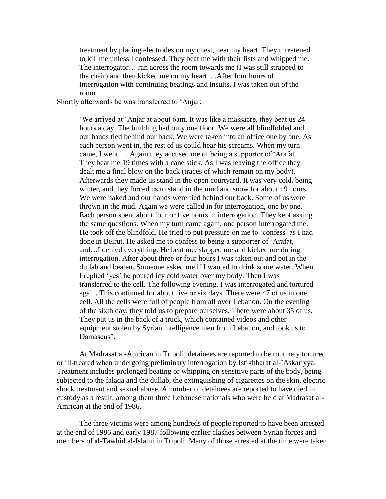treatment by placing electrodes on my chest, near my heart. They threatened to kill me unless I confessed. They beat me with their fists and whipped me. The interrogator… ran across the room towards me (I was still strapped to the chair) and then kicked me on my heart. . .After four hours of interrogation with continuing beatings and insults, I was taken out of the room.

#### Shortly afterwards he was transferred to 'Anjar:

'We arrived at 'Anjar at about 6am. It was like a massacre, they beat us 24 hours a day. The building had only one floor. We were all blindfolded and our hands tied behind our back. We were taken into an office one by one. As each person went in, the rest of us could hear his screams. When my turn came, I went in. Again they accused me of being a supporter of 'Arafat. They beat me 19 times with a cane stick. As I was leaving the office they dealt me a final blow on the back (traces of which remain on my body). Afterwards they made us stand in the open courtyard. It was very cold, being winter, and they forced us to stand in the mud and snow for about 19 hours. We were naked and our hands were tied behind our back. Some of us were thrown in the mud. Again we were called in for interrogation, one by one. Each person spent about four or five hours in interrogation. They kept asking the same questions. When my turn came again, one person interrogated me. He took off the blindfold. He tried to put pressure on me to 'confess' as I had done in Beirut. He asked me to confess to being a supporter of 'Arafat, and…I denied everything. He beat me, slapped me and kicked me during interrogation. After about three or four hours I was taken out and put in the dullab and beaten. Someone asked me if I wanted to drink some water. When I replied 'yes' he poured icy cold water over my body. Then I was transferred to the cell. The following evening, I was interrogated and tortured again. This continued for about five or six days. There were 47 of us in one cell. All the cells were full of people from all over Lebanon. On the evening of the sixth day, they told us to prepare ourselves. There were about 35 of us. They put us in the back of a truck, which contained videos and other equipment stolen by Syrian intelligence men from Lebanon, and took us to Damascus".

At Madrasat al-Amrican in Tripoli, detainees are reported to be routinely tortured or ill-treated when undergoing preliminary interrogation by Istikhbarat al-'Askariyya. Treatment includes prolonged beating or whipping on sensitive parts of the body, being subjected to the falaqa and the dullab, the extinguishing of cigarettes on the skin, electric shock treatment and sexual abuse. A number of detainees are reported to have died in custody as a result, among them three Lebanese nationals who were held at Madrasat al-Amrican at the end of 1986.

The three victims were among hundreds of people reported to have been arrested at the end of 1986 and early 1987 following earlier clashes between Syrian forces and members of al-Tawhid al-Islami in Tripoli. Many of those arrested at the time were taken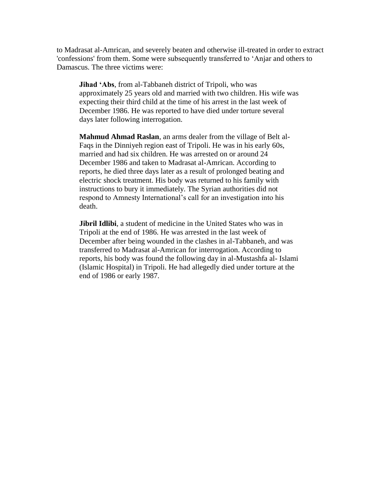to Madrasat al-Amrican, and severely beaten and otherwise ill-treated in order to extract 'confessions' from them. Some were subsequently transferred to 'Anjar and others to Damascus. The three victims were:

**Jihad 'Abs**, from al-Tabbaneh district of Tripoli, who was approximately 25 years old and married with two children. His wife was expecting their third child at the time of his arrest in the last week of December 1986. He was reported to have died under torture several days later following interrogation.

**Mahmud Ahmad Raslan**, an arms dealer from the village of Belt al-Faqs in the Dinniyeh region east of Tripoli. He was in his early 60s, married and had six children. He was arrested on or around 24 December 1986 and taken to Madrasat al-Amrican. According to reports, he died three days later as a result of prolonged beating and electric shock treatment. His body was returned to his family with instructions to bury it immediately. The Syrian authorities did not respond to Amnesty International's call for an investigation into his death.

**Jibril Idlibi**, a student of medicine in the United States who was in Tripoli at the end of 1986. He was arrested in the last week of December after being wounded in the clashes in al-Tabbaneh, and was transferred to Madrasat al-Amrican for interrogation. According to reports, his body was found the following day in al-Mustashfa al- Islami (Islamic Hospital) in Tripoli. He had allegedly died under torture at the end of 1986 or early 1987.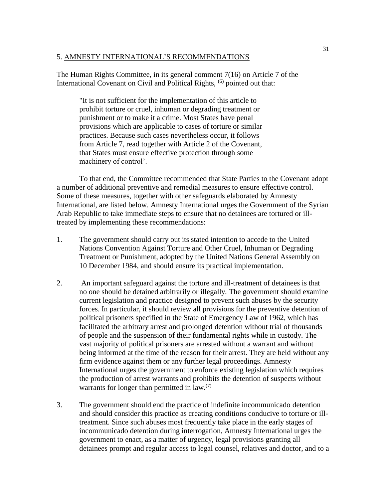#### 5. AMNESTY INTERNATIONAL'S RECOMMENDATIONS

The Human Rights Committee, in its general comment 7(16) on Article 7 of the International Covenant on Civil and Political Rights, <sup>(6)</sup> pointed out that:

"It is not sufficient for the implementation of this article to prohibit torture or cruel, inhuman or degrading treatment or punishment or to make it a crime. Most States have penal provisions which are applicable to cases of torture or similar practices. Because such cases nevertheless occur, it follows from Article 7, read together with Article 2 of the Covenant, that States must ensure effective protection through some machinery of control'.

To that end, the Committee recommended that State Parties to the Covenant adopt a number of additional preventive and remedial measures to ensure effective control. Some of these measures, together with other safeguards elaborated by Amnesty International, are listed below. Amnesty International urges the Government of the Syrian Arab Republic to take immediate steps to ensure that no detainees are tortured or illtreated by implementing these recommendations:

- 1. The government should carry out its stated intention to accede to the United Nations Convention Against Torture and Other Cruel, Inhuman or Degrading Treatment or Punishment, adopted by the United Nations General Assembly on 10 December 1984, and should ensure its practical implementation.
- 2. An important safeguard against the torture and ill-treatment of detainees is that no one should be detained arbitrarily or illegally. The government should examine current legislation and practice designed to prevent such abuses by the security forces. In particular, it should review all provisions for the preventive detention of political prisoners specified in the State of Emergency Law of 1962, which has facilitated the arbitrary arrest and prolonged detention without trial of thousands of people and the suspension of their fundamental rights while in custody. The vast majority of political prisoners are arrested without a warrant and without being informed at the time of the reason for their arrest. They are held without any firm evidence against them or any further legal proceedings. Amnesty International urges the government to enforce existing legislation which requires the production of arrest warrants and prohibits the detention of suspects without warrants for longer than permitted in law.<sup>(7)</sup>
- 3. The government should end the practice of indefinite incommunicado detention and should consider this practice as creating conditions conducive to torture or illtreatment. Since such abuses most frequently take place in the early stages of incommunicado detention during interrogation, Amnesty International urges the government to enact, as a matter of urgency, legal provisions granting all detainees prompt and regular access to legal counsel, relatives and doctor, and to a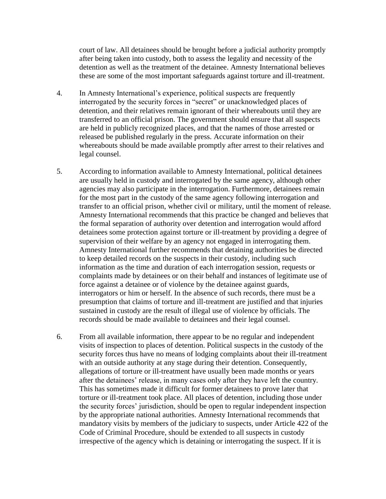court of law. All detainees should be brought before a judicial authority promptly after being taken into custody, both to assess the legality and necessity of the detention as well as the treatment of the detainee. Amnesty International believes these are some of the most important safeguards against torture and ill-treatment.

- 4. In Amnesty International's experience, political suspects are frequently interrogated by the security forces in "secret" or unacknowledged places of detention, and their relatives remain ignorant of their whereabouts until they are transferred to an official prison. The government should ensure that all suspects are held in publicly recognized places, and that the names of those arrested or released be published regularly in the press. Accurate information on their whereabouts should be made available promptly after arrest to their relatives and legal counsel.
- 5. According to information available to Amnesty International, political detainees are usually held in custody and interrogated by the same agency, although other agencies may also participate in the interrogation. Furthermore, detainees remain for the most part in the custody of the same agency following interrogation and transfer to an official prison, whether civil or military, until the moment of release. Amnesty International recommends that this practice be changed and believes that the formal separation of authority over detention and interrogation would afford detainees some protection against torture or ill-treatment by providing a degree of supervision of their welfare by an agency not engaged in interrogating them. Amnesty International further recommends that detaining authorities be directed to keep detailed records on the suspects in their custody, including such information as the time and duration of each interrogation session, requests or complaints made by detainees or on their behalf and instances of legitimate use of force against a detainee or of violence by the detainee against guards, interrogators or him or herself. In the absence of such records, there must be a presumption that claims of torture and ill-treatment are justified and that injuries sustained in custody are the result of illegal use of violence by officials. The records should be made available to detainees and their legal counsel.
- 6. From all available information, there appear to be no regular and independent visits of inspection to places of detention. Political suspects in the custody of the security forces thus have no means of lodging complaints about their ill-treatment with an outside authority at any stage during their detention. Consequently, allegations of torture or ill-treatment have usually been made months or years after the detainees' release, in many cases only after they have left the country. This has sometimes made it difficult for former detainees to prove later that torture or ill-treatment took place. All places of detention, including those under the security forces' jurisdiction, should be open to regular independent inspection by the appropriate national authorities. Amnesty International recommends that mandatory visits by members of the judiciary to suspects, under Article 422 of the Code of Criminal Procedure, should be extended to all suspects in custody irrespective of the agency which is detaining or interrogating the suspect. If it is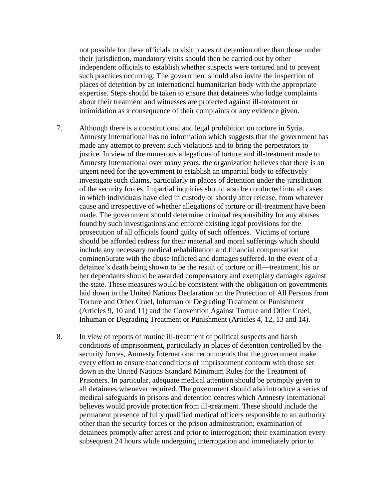not possible for these officials to visit places of detention other than those under their jurisdiction, mandatory visits should then be carried out by other independent officials to establish whether suspects were tortured and to prevent such practices occurring. The government should also invite the inspection of places of detention by an international humanitarian body with the appropriate expertise. Steps should be taken to ensure that detainees who lodge complaints about their treatment and witnesses are protected against ill-treatment or intimidation as a consequence of their complaints or any evidence given.

- 7. Although there is a constitutional and legal prohibition on torture in Syria, Amnesty International has no information which suggests that the government has made any attempt to prevent such violations and to bring the perpetrators to justice. In view of the numerous allegations of torture and ill-treatment made to Amnesty International over many years, the organization believes that there is an urgent need for the government to establish an impartial body to effectively investigate such claims, particularly in places of detention under the jurisdiction of the security forces. Impartial inquiries should also be conducted into all cases in which individuals have died in custody or shortly after release, from whatever cause and irrespective of whether allegations of torture or ill-treatment have been made. The government should determine criminal responsibility for any abuses found by such investigations and enforce existing legal provisions for the prosecution of all officials found guilty of such offences. Victims of torture should be afforded redress for their material and moral sufferings which should include any necessary medical rehabilitation and financial compensation cominen5urate with the abuse inflicted and damages suffered. In the event of a detainee's death being shown to be the result of torture or ill—treatment, his or her dependants should be awarded compensatory and exemplary damages against the state. These measures would be consistent with the obligation on governments laid down in the United Nations Declaration on the Protection of All Persons from Torture and Other Cruel, Inhuman or Degrading Treatment or Punishment (Articles 9, 10 and 11) and the Convention Against Torture and Other Cruel, Inhuman or Degrading Treatment or Punishment (Articles 4, 12, 13 and 14).
- 8. In view of reports of routine ill-treatment of political suspects and harsh conditions of imprisonment, particularly in places of detention controlled by the security forces, Amnesty International recommends that the government make every effort to ensure that conditions of imprisonment conform with those set down in the United Nations Standard Minimum Rules for the Treatment of Prisoners. In particular, adequate medical attention should be promptly given to all detainees whenever required. The government should also introduce a series of medical safeguards in prisons and detention centres which Amnesty International believes would provide protection from ill-treatment. These should include the permanent presence of fully qualified medical officers responsible to an authority other than the security forces or the prison administration; examination of detainees promptly after arrest and prior to interrogation; their examination every subsequent 24 hours while undergoing interrogation and immediately prior to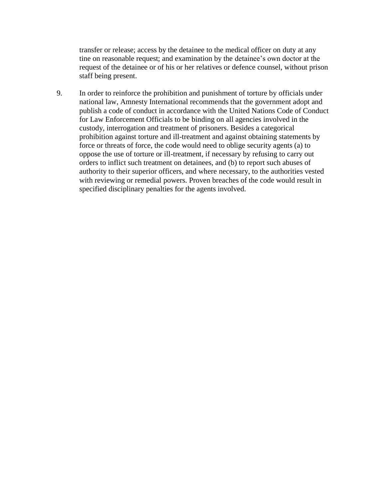transfer or release; access by the detainee to the medical officer on duty at any tine on reasonable request; and examination by the detainee's own doctor at the request of the detainee or of his or her relatives or defence counsel, without prison staff being present.

9. In order to reinforce the prohibition and punishment of torture by officials under national law, Amnesty International recommends that the government adopt and publish a code of conduct in accordance with the United Nations Code of Conduct for Law Enforcement Officials to be binding on all agencies involved in the custody, interrogation and treatment of prisoners. Besides a categorical prohibition against torture and ill-treatment and against obtaining statements by force or threats of force, the code would need to oblige security agents (a) to oppose the use of torture or ill-treatment, if necessary by refusing to carry out orders to inflict such treatment on detainees, and (b) to report such abuses of authority to their superior officers, and where necessary, to the authorities vested with reviewing or remedial powers. Proven breaches of the code would result in specified disciplinary penalties for the agents involved.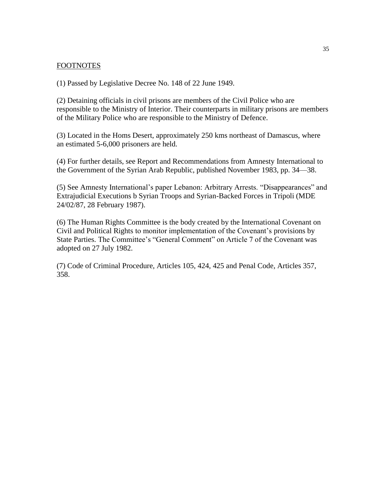#### FOOTNOTES

(1) Passed by Legislative Decree No. 148 of 22 June 1949.

(2) Detaining officials in civil prisons are members of the Civil Police who are responsible to the Ministry of Interior. Their counterparts in military prisons are members of the Military Police who are responsible to the Ministry of Defence.

(3) Located in the Homs Desert, approximately 250 kms northeast of Damascus, where an estimated 5-6,000 prisoners are held.

(4) For further details, see Report and Recommendations from Amnesty International to the Government of the Syrian Arab Republic, published November 1983, pp. 34—38.

(5) See Amnesty International's paper Lebanon: Arbitrary Arrests. "Disappearances" and Extrajudicial Executions b Syrian Troops and Syrian-Backed Forces in Tripoli (MDE 24/02/87, 28 February 1987).

(6) The Human Rights Committee is the body created by the International Covenant on Civil and Political Rights to monitor implementation of the Covenant's provisions by State Parties. The Committee's "General Comment" on Article 7 of the Covenant was adopted on 27 July 1982.

(7) Code of Criminal Procedure, Articles 105, 424, 425 and Penal Code, Articles 357, 358.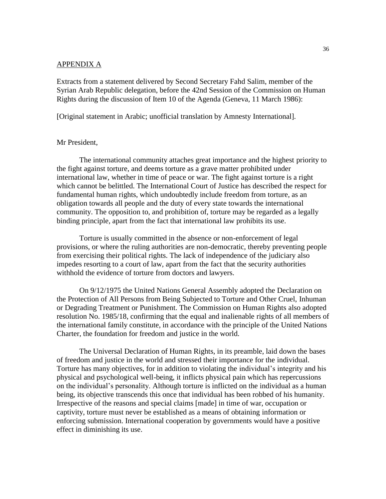#### APPENDIX A

Extracts from a statement delivered by Second Secretary Fahd Salim, member of the Syrian Arab Republic delegation, before the 42nd Session of the Commission on Human Rights during the discussion of Item 10 of the Agenda (Geneva, 11 March 1986):

[Original statement in Arabic; unofficial translation by Amnesty International].

#### Mr President,

The international community attaches great importance and the highest priority to the fight against torture, and deems torture as a grave matter prohibited under international law, whether in time of peace or war. The fight against torture is a right which cannot be belittled. The International Court of Justice has described the respect for fundamental human rights, which undoubtedly include freedom from torture, as an obligation towards all people and the duty of every state towards the international community. The opposition to, and prohibition of, torture may be regarded as a legally binding principle, apart from the fact that international law prohibits its use.

Torture is usually committed in the absence or non-enforcement of legal provisions, or where the ruling authorities are non-democratic, thereby preventing people from exercising their political rights. The lack of independence of the judiciary also impedes resorting to a court of law, apart from the fact that the security authorities withhold the evidence of torture from doctors and lawyers.

On 9/12/1975 the United Nations General Assembly adopted the Declaration on the Protection of All Persons from Being Subjected to Torture and Other Cruel, Inhuman or Degrading Treatment or Punishment. The Commission on Human Rights also adopted resolution No. 1985/18, confirming that the equal and inalienable rights of all members of the international family constitute, in accordance with the principle of the United Nations Charter, the foundation for freedom and justice in the world.

The Universal Declaration of Human Rights, in its preamble, laid down the bases of freedom and justice in the world and stressed their importance for the individual. Torture has many objectives, for in addition to violating the individual's integrity and his physical and psychological well-being, it inflicts physical pain which has repercussions on the individual's personality. Although torture is inflicted on the individual as a human being, its objective transcends this once that individual has been robbed of his humanity. Irrespective of the reasons and special claims [made] in time of war, occupation or captivity, torture must never be established as a means of obtaining information or enforcing submission. International cooperation by governments would have a positive effect in diminishing its use.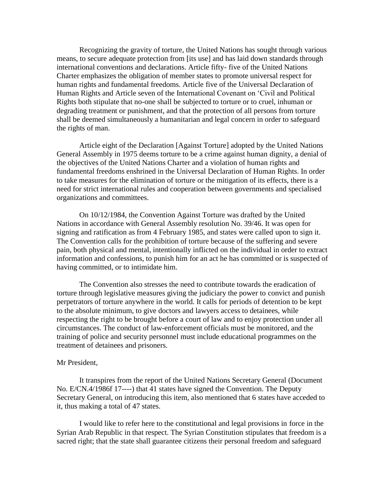Recognizing the gravity of torture, the United Nations has sought through various means, to secure adequate protection from [its use] and has laid down standards through international conventions and declarations. Article fifty- five of the United Nations Charter emphasizes the obligation of member states to promote universal respect for human rights and fundamental freedoms. Article five of the Universal Declaration of Human Rights and Article seven of the International Covenant on 'Civil and Political Rights both stipulate that no-one shall be subjected to torture or to cruel, inhuman or degrading treatment or punishment, and that the protection of all persons from torture shall be deemed simultaneously a humanitarian and legal concern in order to safeguard the rights of man.

Article eight of the Declaration [Against Torture] adopted by the United Nations General Assembly in 1975 deems torture to be a crime against human dignity, a denial of the objectives of the United Nations Charter and a violation of human rights and fundamental freedoms enshrined in the Universal Declaration of Human Rights. In order to take measures for the elimination of torture or the mitigation of its effects, there is a need for strict international rules and cooperation between governments and specialised organizations and committees.

On 10/12/1984, the Convention Against Torture was drafted by the United Nations in accordance with General Assembly resolution No. 39/46. It was open for signing and ratification as from 4 February 1985, and states were called upon to sign it. The Convention calls for the prohibition of torture because of the suffering and severe pain, both physical and mental, intentionally inflicted on the individual in order to extract information and confessions, to punish him for an act he has committed or is suspected of having committed, or to intimidate him.

The Convention also stresses the need to contribute towards the eradication of torture through legislative measures giving the judiciary the power to convict and punish perpetrators of torture anywhere in the world. It calls for periods of detention to be kept to the absolute minimum, to give doctors and lawyers access to detainees, while respecting the right to be brought before a court of law and to enjoy protection under all circumstances. The conduct of law-enforcement officials must be monitored, and the training of police and security personnel must include educational programmes on the treatment of detainees and prisoners.

#### Mr President,

It transpires from the report of the United Nations Secretary General (Document No. E/CN.4/1986f 17----) that 41 states have signed the Convention. The Deputy Secretary General, on introducing this item, also mentioned that 6 states have acceded to it, thus making a total of 47 states.

I would like to refer here to the constitutional and legal provisions in force in the Syrian Arab Republic in that respect. The Syrian Constitution stipulates that freedom is a sacred right; that the state shall guarantee citizens their personal freedom and safeguard